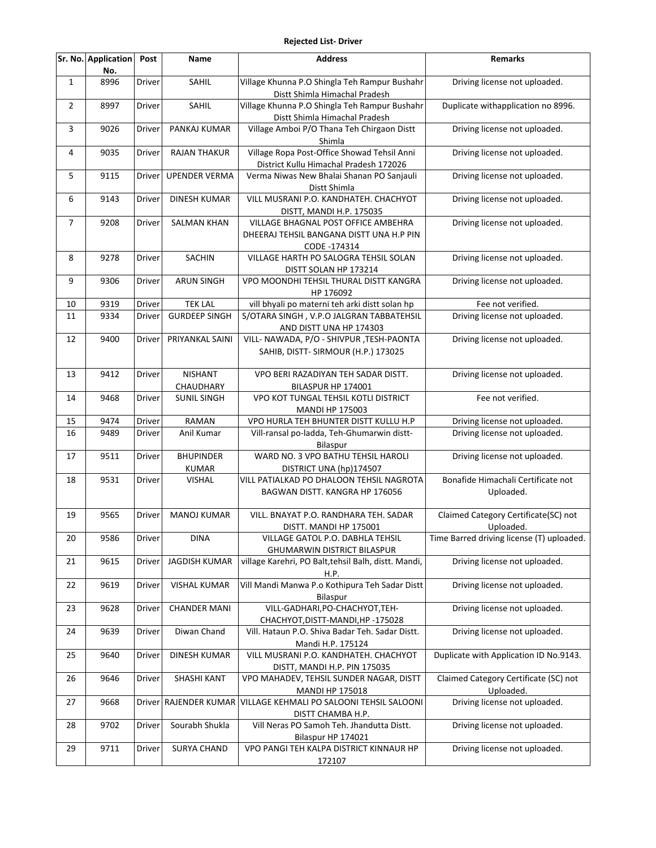## **Rejected List- Driver**

|                | Sr. No. Application<br>No. | Post   | Name                             | <b>Address</b>                                                                                  | <b>Remarks</b>                                     |
|----------------|----------------------------|--------|----------------------------------|-------------------------------------------------------------------------------------------------|----------------------------------------------------|
| $\mathbf{1}$   | 8996                       | Driver | SAHIL                            | Village Khunna P.O Shingla Teh Rampur Bushahr<br>Distt Shimla Himachal Pradesh                  | Driving license not uploaded.                      |
| $\overline{2}$ | 8997                       | Driver | SAHIL                            | Village Khunna P.O Shingla Teh Rampur Bushahr<br>Distt Shimla Himachal Pradesh                  | Duplicate withapplication no 8996.                 |
| 3              | 9026                       | Driver | PANKAJ KUMAR                     | Village Amboi P/O Thana Teh Chirgaon Distt<br>Shimla                                            | Driving license not uploaded.                      |
| 4              | 9035                       | Driver | <b>RAJAN THAKUR</b>              | Village Ropa Post-Office Showad Tehsil Anni<br>District Kullu Himachal Pradesh 172026           | Driving license not uploaded.                      |
| 5              | 9115                       | Driver | <b>UPENDER VERMA</b>             | Verma Niwas New Bhalai Shanan PO Sanjauli<br>Distt Shimla                                       | Driving license not uploaded.                      |
| 6              | 9143                       | Driver | <b>DINESH KUMAR</b>              | VILL MUSRANI P.O. KANDHATEH. CHACHYOT<br>DISTT, MANDI H.P. 175035                               | Driving license not uploaded.                      |
| $\overline{7}$ | 9208                       | Driver | <b>SALMAN KHAN</b>               | VILLAGE BHAGNAL POST OFFICE AMBEHRA<br>DHEERAJ TEHSIL BANGANA DISTT UNA H.P PIN<br>CODE -174314 | Driving license not uploaded.                      |
| 8              | 9278                       | Driver | <b>SACHIN</b>                    | VILLAGE HARTH PO SALOGRA TEHSIL SOLAN<br>DISTT SOLAN HP 173214                                  | Driving license not uploaded.                      |
| 9              | 9306                       | Driver | <b>ARUN SINGH</b>                | VPO MOONDHI TEHSIL THURAL DISTT KANGRA<br>HP 176092                                             | Driving license not uploaded.                      |
| 10             | 9319                       | Driver | <b>TEK LAL</b>                   | vill bhyali po materni teh arki distt solan hp                                                  | Fee not verified.                                  |
| 11             | 9334                       | Driver | <b>GURDEEP SINGH</b>             | S/OTARA SINGH, V.P.O JALGRAN TABBATEHSIL<br>AND DISTT UNA HP 174303                             | Driving license not uploaded.                      |
| 12             | 9400                       | Driver | PRIYANKAL SAINI                  | VILL- NAWADA, P/O - SHIVPUR, TESH-PAONTA<br>SAHIB, DISTT- SIRMOUR (H.P.) 173025                 | Driving license not uploaded.                      |
| 13             | 9412                       | Driver | <b>NISHANT</b><br>CHAUDHARY      | VPO BERI RAZADIYAN TEH SADAR DISTT.<br>BILASPUR HP 174001                                       | Driving license not uploaded.                      |
| 14             | 9468                       | Driver | <b>SUNIL SINGH</b>               | VPO KOT TUNGAL TEHSIL KOTLI DISTRICT<br><b>MANDI HP 175003</b>                                  | Fee not verified.                                  |
| 15             | 9474                       | Driver | RAMAN                            | VPO HURLA TEH BHUNTER DISTT KULLU H.P                                                           | Driving license not uploaded.                      |
| 16             | 9489                       | Driver | Anil Kumar                       | Vill-ransal po-ladda, Teh-Ghumarwin distt-<br>Bilaspur                                          | Driving license not uploaded.                      |
| 17             | 9511                       | Driver | <b>BHUPINDER</b><br><b>KUMAR</b> | WARD NO. 3 VPO BATHU TEHSIL HAROLI<br>DISTRICT UNA (hp)174507                                   | Driving license not uploaded.                      |
| 18             | 9531                       | Driver | <b>VISHAL</b>                    | VILL PATIALKAD PO DHALOON TEHSIL NAGROTA<br>BAGWAN DISTT. KANGRA HP 176056                      | Bonafide Himachali Certificate not<br>Uploaded.    |
| 19             | 9565                       | Driver | <b>MANOJ KUMAR</b>               | VILL. BNAYAT P.O. RANDHARA TEH. SADAR<br>DISTT. MANDI HP 175001                                 | Claimed Category Certificate(SC) not<br>Uploaded.  |
| 20             | 9586                       | Driver | <b>DINA</b>                      | VILLAGE GATOL P.O. DABHLA TEHSIL<br><b>GHUMARWIN DISTRICT BILASPUR</b>                          | Time Barred driving license (T) uploaded.          |
| 21             | 9615                       | Driver | <b>JAGDISH KUMAR</b>             | village Karehri, PO Balt, tehsil Balh, distt. Mandi,<br>H.P.                                    | Driving license not uploaded.                      |
| 22             | 9619                       | Driver | <b>VISHAL KUMAR</b>              | Vill Mandi Manwa P.o Kothipura Teh Sadar Distt<br>Bilaspur                                      | Driving license not uploaded.                      |
| 23             | 9628                       | Driver | <b>CHANDER MANI</b>              | VILL-GADHARI, PO-CHACHYOT, TEH-<br>CHACHYOT, DISTT-MANDI, HP-175028                             | Driving license not uploaded.                      |
| 24             | 9639                       | Driver | Diwan Chand                      | Vill. Hataun P.O. Shiva Badar Teh. Sadar Distt.<br>Mandi H.P. 175124                            | Driving license not uploaded.                      |
| 25             | 9640                       | Driver | <b>DINESH KUMAR</b>              | VILL MUSRANI P.O. KANDHATEH. CHACHYOT<br>DISTT, MANDI H.P. PIN 175035                           | Duplicate with Application ID No.9143.             |
| 26             | 9646                       | Driver | SHASHI KANT                      | VPO MAHADEV, TEHSIL SUNDER NAGAR, DISTT<br><b>MANDI HP 175018</b>                               | Claimed Category Certificate (SC) not<br>Uploaded. |
| 27             | 9668                       |        | Driver RAJENDER KUMAR            | VILLAGE KEHMALI PO SALOONI TEHSIL SALOONI<br>DISTT CHAMBA H.P.                                  | Driving license not uploaded.                      |
| 28             | 9702                       | Driver | Sourabh Shukla                   | Vill Neras PO Samoh Teh. Jhandutta Distt.<br>Bilaspur HP 174021                                 | Driving license not uploaded.                      |
| 29             | 9711                       | Driver | <b>SURYA CHAND</b>               | VPO PANGI TEH KALPA DISTRICT KINNAUR HP<br>172107                                               | Driving license not uploaded.                      |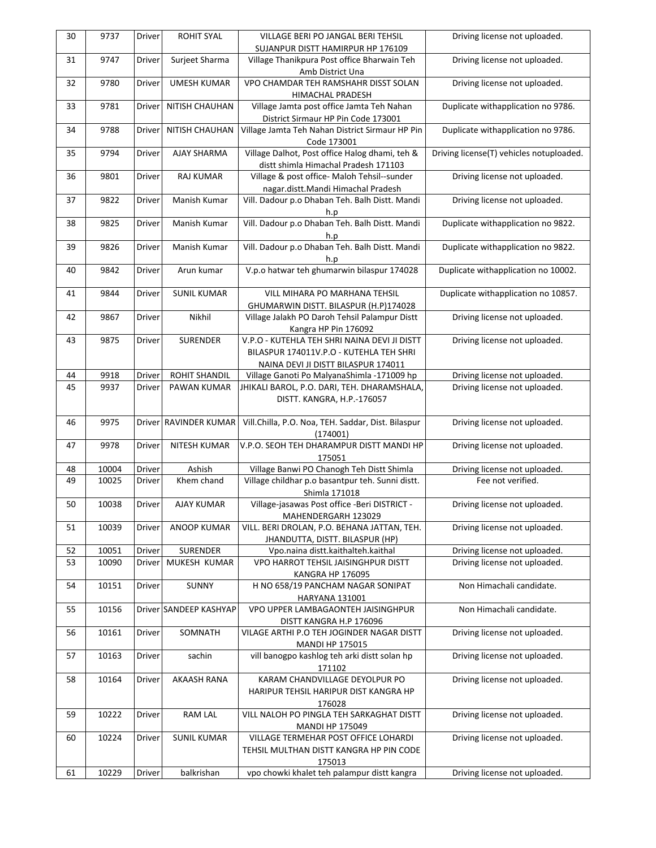| 30 | 9737  | Driver | <b>ROHIT SYAL</b>      | VILLAGE BERI PO JANGAL BERI TEHSIL                                                                                             | Driving license not uploaded.            |
|----|-------|--------|------------------------|--------------------------------------------------------------------------------------------------------------------------------|------------------------------------------|
|    |       |        |                        | SUJANPUR DISTT HAMIRPUR HP 176109                                                                                              |                                          |
| 31 | 9747  | Driver | Surjeet Sharma         | Village Thanikpura Post office Bharwain Teh<br>Amb District Una                                                                | Driving license not uploaded.            |
| 32 | 9780  | Driver | <b>UMESH KUMAR</b>     | VPO CHAMDAR TEH RAMSHAHR DISST SOLAN<br>HIMACHAL PRADESH                                                                       | Driving license not uploaded.            |
| 33 | 9781  | Driver | NITISH CHAUHAN         | Village Jamta post office Jamta Teh Nahan<br>District Sirmaur HP Pin Code 173001                                               | Duplicate withapplication no 9786.       |
| 34 | 9788  | Driver | NITISH CHAUHAN         | Village Jamta Teh Nahan District Sirmaur HP Pin<br>Code 173001                                                                 | Duplicate withapplication no 9786.       |
| 35 | 9794  | Driver | AJAY SHARMA            | Village Dalhot, Post office Halog dhami, teh &<br>distt shimla Himachal Pradesh 171103                                         | Driving license(T) vehicles notuploaded. |
| 36 | 9801  | Driver | <b>RAJ KUMAR</b>       | Village & post office- Maloh Tehsil--sunder<br>nagar.distt.Mandi Himachal Pradesh                                              | Driving license not uploaded.            |
| 37 | 9822  | Driver | Manish Kumar           | Vill. Dadour p.o Dhaban Teh. Balh Distt. Mandi<br>h.p                                                                          | Driving license not uploaded.            |
| 38 | 9825  | Driver | Manish Kumar           | Vill. Dadour p.o Dhaban Teh. Balh Distt. Mandi<br>h.p                                                                          | Duplicate withapplication no 9822.       |
| 39 | 9826  | Driver | Manish Kumar           | Vill. Dadour p.o Dhaban Teh. Balh Distt. Mandi<br>h.p                                                                          | Duplicate withapplication no 9822.       |
| 40 | 9842  | Driver | Arun kumar             | V.p.o hatwar teh ghumarwin bilaspur 174028                                                                                     | Duplicate withapplication no 10002.      |
| 41 | 9844  | Driver | <b>SUNIL KUMAR</b>     | VILL MIHARA PO MARHANA TEHSIL<br>GHUMARWIN DISTT. BILASPUR (H.P)174028                                                         | Duplicate withapplication no 10857.      |
| 42 | 9867  | Driver | Nikhil                 | Village Jalakh PO Daroh Tehsil Palampur Distt<br>Kangra HP Pin 176092                                                          | Driving license not uploaded.            |
| 43 | 9875  | Driver | SURENDER               | V.P.O - KUTEHLA TEH SHRI NAINA DEVI JI DISTT<br>BILASPUR 174011V.P.O - KUTEHLA TEH SHRI<br>NAINA DEVI JI DISTT BILASPUR 174011 | Driving license not uploaded.            |
| 44 | 9918  | Driver | <b>ROHIT SHANDIL</b>   | Village Ganoti Po MalyanaShimla -171009 hp                                                                                     | Driving license not uploaded.            |
| 45 | 9937  | Driver | PAWAN KUMAR            | JHIKALI BAROL, P.O. DARI, TEH. DHARAMSHALA,<br>DISTT. KANGRA, H.P.-176057                                                      | Driving license not uploaded.            |
| 46 | 9975  |        | Driver RAVINDER KUMAR  | Vill.Chilla, P.O. Noa, TEH. Saddar, Dist. Bilaspur<br>(174001)                                                                 | Driving license not uploaded.            |
| 47 | 9978  | Driver | NITESH KUMAR           | V.P.O. SEOH TEH DHARAMPUR DISTT MANDI HP<br>175051                                                                             | Driving license not uploaded.            |
| 48 | 10004 | Driver | Ashish                 | Village Banwi PO Chanogh Teh Distt Shimla                                                                                      | Driving license not uploaded.            |
| 49 | 10025 | Driver | Khem chand             | Village childhar p.o basantpur teh. Sunni distt.<br>Shimla 171018                                                              | Fee not verified.                        |
| 50 | 10038 | Driver | <b>AJAY KUMAR</b>      | Village-jasawas Post office -Beri DISTRICT -<br>MAHENDERGARH 123029                                                            | Driving license not uploaded.            |
| 51 | 10039 | Driver | <b>ANOOP KUMAR</b>     | VILL. BERI DROLAN, P.O. BEHANA JATTAN, TEH.<br>JHANDUTTA, DISTT. BILASPUR (HP)                                                 | Driving license not uploaded.            |
| 52 | 10051 | Driver | SURENDER               | Vpo.naina distt.kaithalteh.kaithal                                                                                             | Driving license not uploaded.            |
| 53 | 10090 | Driver | MUKESH KUMAR           | VPO HARROT TEHSIL JAISINGHPUR DISTT<br><b>KANGRA HP 176095</b>                                                                 | Driving license not uploaded.            |
| 54 | 10151 | Driver | SUNNY                  | H NO 658/19 PANCHAM NAGAR SONIPAT<br><b>HARYANA 131001</b>                                                                     | Non Himachali candidate.                 |
| 55 | 10156 |        | Driver SANDEEP KASHYAP | VPO UPPER LAMBAGAONTEH JAISINGHPUR<br>DISTT KANGRA H.P 176096                                                                  | Non Himachali candidate.                 |
| 56 | 10161 | Driver | SOMNATH                | VILAGE ARTHI P.O TEH JOGINDER NAGAR DISTT<br><b>MANDI HP 175015</b>                                                            | Driving license not uploaded.            |
| 57 | 10163 | Driver | sachin                 | vill banogpo kashlog teh arki distt solan hp<br>171102                                                                         | Driving license not uploaded.            |
| 58 | 10164 | Driver | AKAASH RANA            | KARAM CHANDVILLAGE DEYOLPUR PO<br>HARIPUR TEHSIL HARIPUR DIST KANGRA HP<br>176028                                              | Driving license not uploaded.            |
| 59 | 10222 | Driver | RAM LAL                | VILL NALOH PO PINGLA TEH SARKAGHAT DISTT<br><b>MANDI HP 175049</b>                                                             | Driving license not uploaded.            |
| 60 | 10224 | Driver | <b>SUNIL KUMAR</b>     | VILLAGE TERMEHAR POST OFFICE LOHARDI<br>TEHSIL MULTHAN DISTT KANGRA HP PIN CODE<br>175013                                      | Driving license not uploaded.            |
| 61 | 10229 | Driver | balkrishan             | vpo chowki khalet teh palampur distt kangra                                                                                    | Driving license not uploaded.            |
|    |       |        |                        |                                                                                                                                |                                          |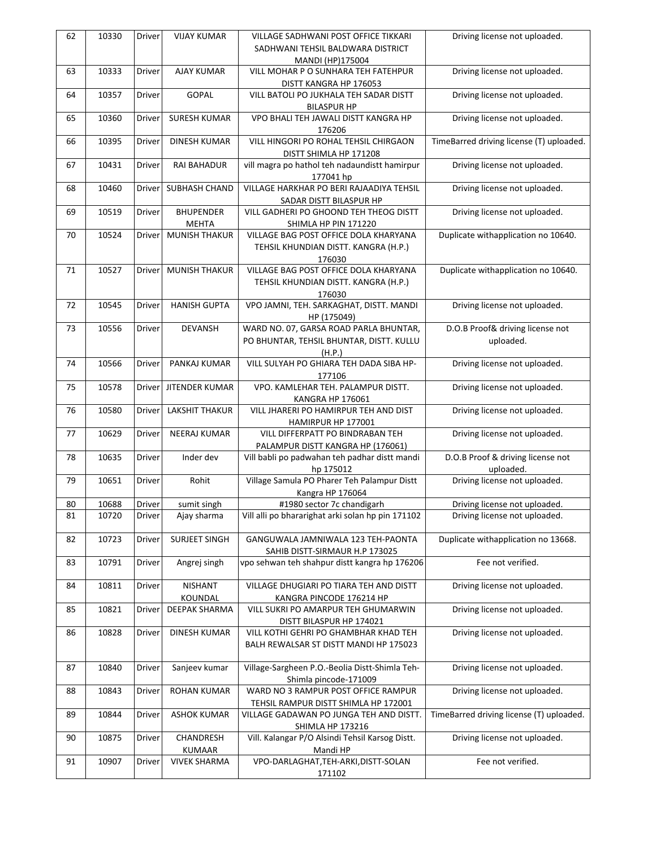| 62 | 10330 | Driver | <b>VIJAY KUMAR</b>            | VILLAGE SADHWANI POST OFFICE TIKKARI                            | Driving license not uploaded.            |
|----|-------|--------|-------------------------------|-----------------------------------------------------------------|------------------------------------------|
|    |       |        |                               | SADHWANI TEHSIL BALDWARA DISTRICT                               |                                          |
|    | 10333 |        | <b>AJAY KUMAR</b>             | MANDI (HP)175004<br>VILL MOHAR P O SUNHARA TEH FATEHPUR         | Driving license not uploaded.            |
| 63 |       | Driver |                               | DISTT KANGRA HP 176053                                          |                                          |
| 64 | 10357 | Driver | GOPAL                         | VILL BATOLI PO JUKHALA TEH SADAR DISTT                          | Driving license not uploaded.            |
|    |       |        |                               | <b>BILASPUR HP</b>                                              |                                          |
| 65 | 10360 | Driver | <b>SURESH KUMAR</b>           | VPO BHALI TEH JAWALI DISTT KANGRA HP                            | Driving license not uploaded.            |
| 66 | 10395 | Driver | <b>DINESH KUMAR</b>           | 176206<br>VILL HINGORI PO ROHAL TEHSIL CHIRGAON                 | TimeBarred driving license (T) uploaded. |
|    |       |        |                               | DISTT SHIMLA HP 171208                                          |                                          |
| 67 | 10431 | Driver | <b>RAI BAHADUR</b>            | vill magra po hathol teh nadaundistt hamirpur                   | Driving license not uploaded.            |
|    |       |        |                               | 177041 hp                                                       |                                          |
| 68 | 10460 | Driver | SUBHASH CHAND                 | VILLAGE HARKHAR PO BERI RAJAADIYA TEHSIL                        | Driving license not uploaded.            |
|    |       |        |                               | SADAR DISTT BILASPUR HP                                         |                                          |
| 69 | 10519 | Driver | <b>BHUPENDER</b>              | VILL GADHERI PO GHOOND TEH THEOG DISTT                          | Driving license not uploaded.            |
| 70 | 10524 | Driver | <b>MEHTA</b><br>MUNISH THAKUR | SHIMLA HP PIN 171220<br>VILLAGE BAG POST OFFICE DOLA KHARYANA   | Duplicate withapplication no 10640.      |
|    |       |        |                               | TEHSIL KHUNDIAN DISTT. KANGRA (H.P.)                            |                                          |
|    |       |        |                               | 176030                                                          |                                          |
| 71 | 10527 | Driver | MUNISH THAKUR                 | VILLAGE BAG POST OFFICE DOLA KHARYANA                           | Duplicate withapplication no 10640.      |
|    |       |        |                               | TEHSIL KHUNDIAN DISTT. KANGRA (H.P.)                            |                                          |
|    |       |        |                               | 176030                                                          |                                          |
| 72 | 10545 | Driver | <b>HANISH GUPTA</b>           | VPO JAMNI, TEH. SARKAGHAT, DISTT. MANDI                         | Driving license not uploaded.            |
| 73 | 10556 | Driver | <b>DEVANSH</b>                | HP (175049)<br>WARD NO. 07, GARSA ROAD PARLA BHUNTAR,           | D.O.B Proof& driving license not         |
|    |       |        |                               | PO BHUNTAR, TEHSIL BHUNTAR, DISTT. KULLU                        | uploaded.                                |
|    |       |        |                               | (H.P.)                                                          |                                          |
| 74 | 10566 | Driver | PANKAJ KUMAR                  | VILL SULYAH PO GHIARA TEH DADA SIBA HP-                         | Driving license not uploaded.            |
|    |       |        |                               | 177106                                                          |                                          |
| 75 | 10578 | Driver | JITENDER KUMAR                | VPO. KAMLEHAR TEH. PALAMPUR DISTT.                              | Driving license not uploaded.            |
| 76 | 10580 | Driver | <b>LAKSHIT THAKUR</b>         | KANGRA HP 176061<br>VILL JHARERI PO HAMIRPUR TEH AND DIST       | Driving license not uploaded.            |
|    |       |        |                               | HAMIRPUR HP 177001                                              |                                          |
| 77 | 10629 | Driver | NEERAJ KUMAR                  | VILL DIFFERPATT PO BINDRABAN TEH                                | Driving license not uploaded.            |
|    |       |        |                               | PALAMPUR DISTT KANGRA HP (176061)                               |                                          |
| 78 | 10635 | Driver | Inder dev                     | Vill babli po padwahan teh padhar distt mandi                   | D.O.B Proof & driving license not        |
|    |       |        |                               | hp 175012                                                       | uploaded.                                |
| 79 | 10651 | Driver | Rohit                         | Village Samula PO Pharer Teh Palampur Distt<br>Kangra HP 176064 | Driving license not uploaded.            |
| 80 | 10688 | Driver | sumit singh                   | #1980 sector 7c chandigarh                                      | Driving license not uploaded.            |
| 81 | 10720 | Driver | Ajay sharma                   | Vill alli po bhararighat arki solan hp pin 171102               | Driving license not uploaded.            |
|    |       |        |                               |                                                                 |                                          |
| 82 | 10723 | Driver | SURJEET SINGH                 | GANGUWALA JAMNIWALA 123 TEH-PAONTA                              | Duplicate withapplication no 13668.      |
|    |       |        |                               | SAHIB DISTT-SIRMAUR H.P 173025                                  |                                          |
| 83 | 10791 | Driver | Angrej singh                  | vpo sehwan teh shahpur distt kangra hp 176206                   | Fee not verified.                        |
| 84 | 10811 | Driver | <b>NISHANT</b>                | VILLAGE DHUGIARI PO TIARA TEH AND DISTT                         | Driving license not uploaded.            |
|    |       |        | KOUNDAL                       | KANGRA PINCODE 176214 HP                                        |                                          |
| 85 | 10821 | Driver | DEEPAK SHARMA                 | VILL SUKRI PO AMARPUR TEH GHUMARWIN                             | Driving license not uploaded.            |
|    |       |        |                               | DISTT BILASPUR HP 174021                                        |                                          |
| 86 | 10828 | Driver | <b>DINESH KUMAR</b>           | VILL KOTHI GEHRI PO GHAMBHAR KHAD TEH                           | Driving license not uploaded.            |
|    |       |        |                               | BALH REWALSAR ST DISTT MANDI HP 175023                          |                                          |
| 87 | 10840 | Driver | Sanjeev kumar                 | Village-Sargheen P.O.-Beolia Distt-Shimla Teh-                  | Driving license not uploaded.            |
|    |       |        |                               | Shimla pincode-171009                                           |                                          |
| 88 | 10843 | Driver | ROHAN KUMAR                   | WARD NO 3 RAMPUR POST OFFICE RAMPUR                             | Driving license not uploaded.            |
|    |       |        |                               | TEHSIL RAMPUR DISTT SHIMLA HP 172001                            |                                          |
| 89 | 10844 | Driver | <b>ASHOK KUMAR</b>            | VILLAGE GADAWAN PO JUNGA TEH AND DISTT.                         | TimeBarred driving license (T) uploaded. |
|    |       |        |                               | <b>SHIMLA HP 173216</b>                                         |                                          |
| 90 | 10875 | Driver | CHANDRESH<br><b>KUMAAR</b>    | Vill. Kalangar P/O Alsindi Tehsil Karsog Distt.<br>Mandi HP     | Driving license not uploaded.            |
| 91 | 10907 | Driver | <b>VIVEK SHARMA</b>           | VPO-DARLAGHAT, TEH-ARKI, DISTT-SOLAN                            | Fee not verified.                        |
|    |       |        |                               | 171102                                                          |                                          |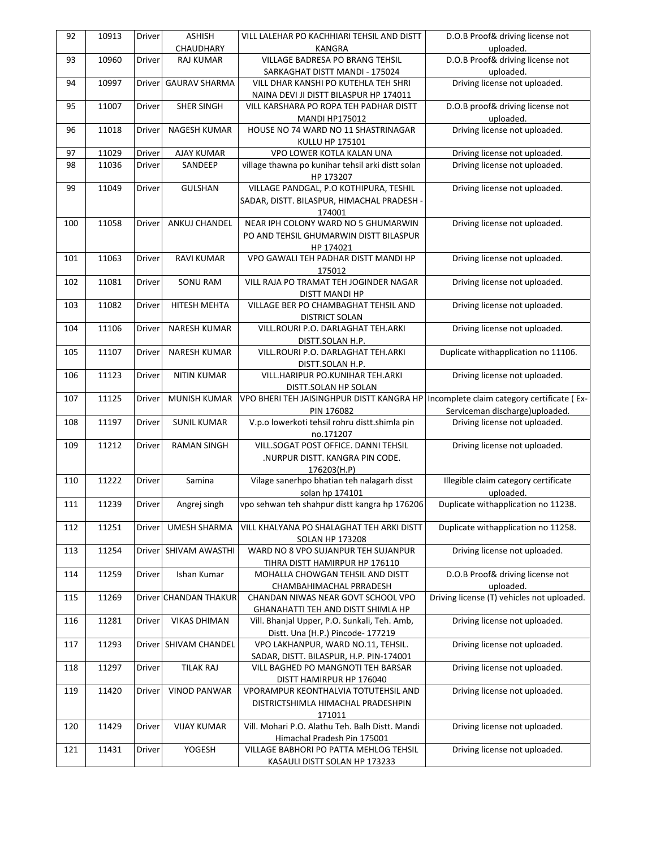| VILL LALEHAR PO KACHHIARI TEHSIL AND DISTT<br>D.O.B Proof& driving license not                                            |
|---------------------------------------------------------------------------------------------------------------------------|
| KANGRA<br>uploaded.                                                                                                       |
| D.O.B Proof& driving license not<br>VILLAGE BADRESA PO BRANG TEHSIL                                                       |
| SARKAGHAT DISTT MANDI - 175024<br>uploaded.                                                                               |
| Driving license not uploaded.<br>VILL DHAR KANSHI PO KUTEHLA TEH SHRI<br>NAINA DEVI JI DISTT BILASPUR HP 174011           |
| D.O.B proof& driving license not<br>VILL KARSHARA PO ROPA TEH PADHAR DISTT                                                |
| uploaded.<br><b>MANDI HP175012</b>                                                                                        |
| Driving license not uploaded.<br>HOUSE NO 74 WARD NO 11 SHASTRINAGAR                                                      |
| KULLU HP 175101<br>Driving license not uploaded.<br>VPO LOWER KOTLA KALAN UNA                                             |
| village thawna po kunihar tehsil arki distt solan<br>Driving license not uploaded.                                        |
| HP 173207                                                                                                                 |
| VILLAGE PANDGAL, P.O KOTHIPURA, TESHIL<br>Driving license not uploaded.                                                   |
| SADAR, DISTT. BILASPUR, HIMACHAL PRADESH -                                                                                |
| 174001                                                                                                                    |
| NEAR IPH COLONY WARD NO 5 GHUMARWIN<br>Driving license not uploaded.                                                      |
| PO AND TEHSIL GHUMARWIN DISTT BILASPUR                                                                                    |
| HP 174021<br>VPO GAWALI TEH PADHAR DISTT MANDI HP<br>Driving license not uploaded.                                        |
| 175012                                                                                                                    |
| VILL RAJA PO TRAMAT TEH JOGINDER NAGAR<br>Driving license not uploaded.                                                   |
| DISTT MANDI HP                                                                                                            |
| VILLAGE BER PO CHAMBAGHAT TEHSIL AND<br>Driving license not uploaded.                                                     |
| <b>DISTRICT SOLAN</b>                                                                                                     |
| VILL.ROURI P.O. DARLAGHAT TEH.ARKI<br>Driving license not uploaded.                                                       |
| DISTT.SOLAN H.P.                                                                                                          |
| Duplicate withapplication no 11106.<br>VILL.ROURI P.O. DARLAGHAT TEH.ARKI                                                 |
| DISTT.SOLAN H.P.                                                                                                          |
| VILL.HARIPUR PO.KUNIHAR TEH.ARKI<br>Driving license not uploaded.                                                         |
| DISTT.SOLAN HP SOLAN                                                                                                      |
| VPO BHERI TEH JAISINGHPUR DISTT KANGRA HP<br>Incomplete claim category certificate (Ex-<br>Serviceman discharge)uploaded. |
| PIN 176082<br>V.p.o lowerkoti tehsil rohru distt.shimla pin<br>Driving license not uploaded.                              |
| no.171207                                                                                                                 |
| VILL.SOGAT POST OFFICE. DANNI TEHSIL<br>Driving license not uploaded.                                                     |
| .NURPUR DISTT. KANGRA PIN CODE.                                                                                           |
| 176203(H.P)                                                                                                               |
| Vilage sanerhpo bhatian teh nalagarh disst<br>Illegible claim category certificate                                        |
| solan hp 174101<br>uploaded.                                                                                              |
| vpo sehwan teh shahpur distt kangra hp 176206<br>Duplicate withapplication no 11238.                                      |
|                                                                                                                           |
| Duplicate withapplication no 11258.<br>VILL KHALYANA PO SHALAGHAT TEH ARKI DISTT                                          |
| <b>SOLAN HP 173208</b>                                                                                                    |
| Driving license not uploaded.<br>WARD NO 8 VPO SUJANPUR TEH SUJANPUR                                                      |
| TIHRA DISTT HAMIRPUR HP 176110<br>D.O.B Proof& driving license not<br>MOHALLA CHOWGAN TEHSIL AND DISTT                    |
| uploaded.<br>CHAMBAHIMACHAL PRRADESH                                                                                      |
| Driving license (T) vehicles not uploaded.<br>CHANDAN NIWAS NEAR GOVT SCHOOL VPO                                          |
| GHANAHATTI TEH AND DISTT SHIMLA HP                                                                                        |
| Driving license not uploaded.<br>Vill. Bhanjal Upper, P.O. Sunkali, Teh. Amb,                                             |
| Distt. Una (H.P.) Pincode- 177219                                                                                         |
| VPO LAKHANPUR, WARD NO.11, TEHSIL.<br>Driving license not uploaded.                                                       |
| SADAR, DISTT. BILASPUR, H.P. PIN-174001                                                                                   |
| Driving license not uploaded.<br>VILL BAGHED PO MANGNOTI TEH BARSAR                                                       |
| DISTT HAMIRPUR HP 176040                                                                                                  |
| Driving license not uploaded.<br>VPORAMPUR KEONTHALVIA TOTUTEHSIL AND                                                     |
| DISTRICTSHIMLA HIMACHAL PRADESHPIN                                                                                        |
| 171011<br>Vill. Mohari P.O. Alathu Teh. Balh Distt. Mandi<br>Driving license not uploaded.                                |
|                                                                                                                           |
|                                                                                                                           |
| Himachal Pradesh Pin 175001<br>VILLAGE BABHORI PO PATTA MEHLOG TEHSIL<br>Driving license not uploaded.                    |
|                                                                                                                           |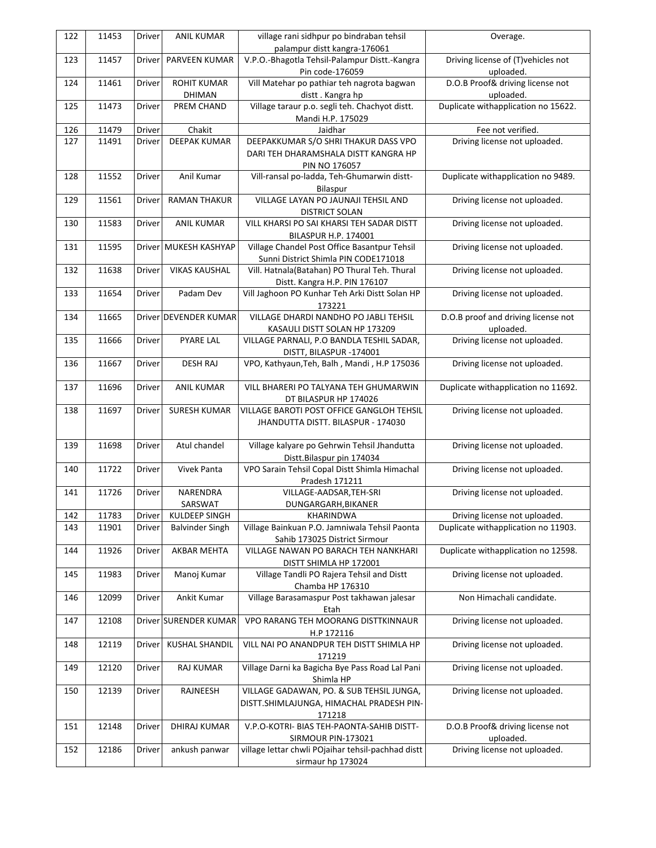| 122 | 11453 | Driver        | <b>ANIL KUMAR</b>      | village rani sidhpur po bindraban tehsil           | Overage.                            |
|-----|-------|---------------|------------------------|----------------------------------------------------|-------------------------------------|
|     |       |               |                        | palampur distt kangra-176061                       |                                     |
| 123 | 11457 | <b>Driver</b> | PARVEEN KUMAR          | V.P.O.-Bhagotla Tehsil-Palampur Distt.-Kangra      | Driving license of (T) vehicles not |
|     |       |               |                        | Pin code-176059                                    | uploaded.                           |
| 124 | 11461 | Driver        | <b>ROHIT KUMAR</b>     | Vill Matehar po pathiar teh nagrota bagwan         | D.O.B Proof& driving license not    |
|     |       |               | DHIMAN                 | distt. Kangra hp                                   | uploaded.                           |
| 125 | 11473 | Driver        | PREM CHAND             | Village taraur p.o. segli teh. Chachyot distt.     | Duplicate withapplication no 15622. |
|     |       |               |                        | Mandi H.P. 175029                                  |                                     |
| 126 | 11479 | Driver        | Chakit                 | Jaidhar                                            | Fee not verified.                   |
| 127 | 11491 | Driver        | <b>DEEPAK KUMAR</b>    | DEEPAKKUMAR S/O SHRI THAKUR DASS VPO               | Driving license not uploaded.       |
|     |       |               |                        | DARI TEH DHARAMSHALA DISTT KANGRA HP               |                                     |
|     |       |               |                        | PIN NO 176057                                      |                                     |
| 128 | 11552 | Driver        | Anil Kumar             | Vill-ransal po-ladda, Teh-Ghumarwin distt-         | Duplicate withapplication no 9489.  |
|     |       |               |                        | Bilaspur                                           |                                     |
| 129 | 11561 | Driver        | <b>RAMAN THAKUR</b>    | VILLAGE LAYAN PO JAUNAJI TEHSIL AND                | Driving license not uploaded.       |
|     |       |               |                        | <b>DISTRICT SOLAN</b>                              |                                     |
| 130 | 11583 | Driver        | <b>ANIL KUMAR</b>      | VILL KHARSI PO SAI KHARSI TEH SADAR DISTT          | Driving license not uploaded.       |
|     |       |               |                        | BILASPUR H.P. 174001                               |                                     |
| 131 | 11595 |               | Driver MUKESH KASHYAP  | Village Chandel Post Office Basantpur Tehsil       | Driving license not uploaded.       |
|     |       |               |                        | Sunni District Shimla PIN CODE171018               |                                     |
| 132 | 11638 | Driver        | <b>VIKAS KAUSHAL</b>   | Vill. Hatnala(Batahan) PO Thural Teh. Thural       | Driving license not uploaded.       |
|     |       |               |                        | Distt. Kangra H.P. PIN 176107                      |                                     |
| 133 | 11654 | Driver        | Padam Dev              | Vill Jaghoon PO Kunhar Teh Arki Distt Solan HP     | Driving license not uploaded.       |
|     |       |               |                        | 173221                                             |                                     |
| 134 | 11665 |               | Driver DEVENDER KUMAR  | VILLAGE DHARDI NANDHO PO JABLI TEHSIL              | D.O.B proof and driving license not |
|     |       |               |                        | KASAULI DISTT SOLAN HP 173209                      | uploaded.                           |
| 135 | 11666 | Driver        | <b>PYARE LAL</b>       | VILLAGE PARNALI, P.O BANDLA TESHIL SADAR,          | Driving license not uploaded.       |
|     |       |               |                        | DISTT, BILASPUR -174001                            |                                     |
| 136 | 11667 | Driver        | <b>DESH RAJ</b>        | VPO, Kathyaun, Teh, Balh, Mandi, H.P 175036        | Driving license not uploaded.       |
|     |       |               |                        |                                                    |                                     |
| 137 | 11696 | Driver        | <b>ANIL KUMAR</b>      | VILL BHARERI PO TALYANA TEH GHUMARWIN              | Duplicate withapplication no 11692. |
|     |       |               |                        | DT BILASPUR HP 174026                              |                                     |
| 138 | 11697 | Driver        | SURESH KUMAR           | VILLAGE BAROTI POST OFFICE GANGLOH TEHSIL          | Driving license not uploaded.       |
|     |       |               |                        | JHANDUTTA DISTT. BILASPUR - 174030                 |                                     |
|     |       |               |                        |                                                    |                                     |
| 139 | 11698 | Driver        | Atul chandel           | Village kalyare po Gehrwin Tehsil Jhandutta        | Driving license not uploaded.       |
|     |       |               |                        | Distt.Bilaspur pin 174034                          |                                     |
| 140 | 11722 | Driver        | Vivek Panta            | VPO Sarain Tehsil Copal Distt Shimla Himachal      | Driving license not uploaded.       |
|     |       |               |                        | Pradesh 171211                                     |                                     |
| 141 | 11726 | Driver        | <b>NARENDRA</b>        | VILLAGE-AADSAR, TEH-SRI                            | Driving license not uploaded.       |
|     |       |               | SARSWAT                | DUNGARGARH, BIKANER                                |                                     |
| 142 | 11783 | Driver        | KULDEEP SINGH          | KHARINDWA                                          | Driving license not uploaded.       |
| 143 | 11901 | Driver        | <b>Balvinder Singh</b> | Village Bainkuan P.O. Jamniwala Tehsil Paonta      | Duplicate withapplication no 11903. |
|     |       |               |                        | Sahib 173025 District Sirmour                      |                                     |
| 144 | 11926 | <b>Driver</b> | <b>AKBAR MEHTA</b>     | VILLAGE NAWAN PO BARACH TEH NANKHARI               | Duplicate withapplication no 12598. |
|     |       |               |                        | DISTT SHIMLA HP 172001                             |                                     |
| 145 | 11983 | Driver        | Manoj Kumar            | Village Tandli PO Rajera Tehsil and Distt          | Driving license not uploaded.       |
|     |       |               |                        | Chamba HP 176310                                   |                                     |
| 146 | 12099 | Driver        | Ankit Kumar            | Village Barasamaspur Post takhawan jalesar         | Non Himachali candidate.            |
|     |       |               |                        | Etah                                               |                                     |
| 147 | 12108 |               | Driver SURENDER KUMAR  | VPO RARANG TEH MOORANG DISTTKINNAUR                | Driving license not uploaded.       |
|     |       |               |                        | H.P 172116                                         |                                     |
| 148 | 12119 | Driver        | <b>KUSHAL SHANDIL</b>  | VILL NAI PO ANANDPUR TEH DISTT SHIMLA HP           | Driving license not uploaded.       |
|     |       |               |                        | 171219                                             |                                     |
| 149 | 12120 | Driver        | RAJ KUMAR              | Village Darni ka Bagicha Bye Pass Road Lal Pani    | Driving license not uploaded.       |
|     |       |               |                        | Shimla HP                                          |                                     |
| 150 | 12139 | Driver        | RAJNEESH               | VILLAGE GADAWAN, PO. & SUB TEHSIL JUNGA,           | Driving license not uploaded.       |
|     |       |               |                        | DISTT.SHIMLAJUNGA, HIMACHAL PRADESH PIN-           |                                     |
|     |       |               |                        | 171218                                             |                                     |
| 151 | 12148 | Driver        | DHIRAJ KUMAR           | V.P.O-KOTRI- BIAS TEH-PAONTA-SAHIB DISTT-          | D.O.B Proof& driving license not    |
|     |       |               |                        | SIRMOUR PIN-173021                                 | uploaded.                           |
| 152 | 12186 | Driver        | ankush panwar          | village lettar chwli POjaihar tehsil-pachhad distt | Driving license not uploaded.       |
|     |       |               |                        | sirmaur hp 173024                                  |                                     |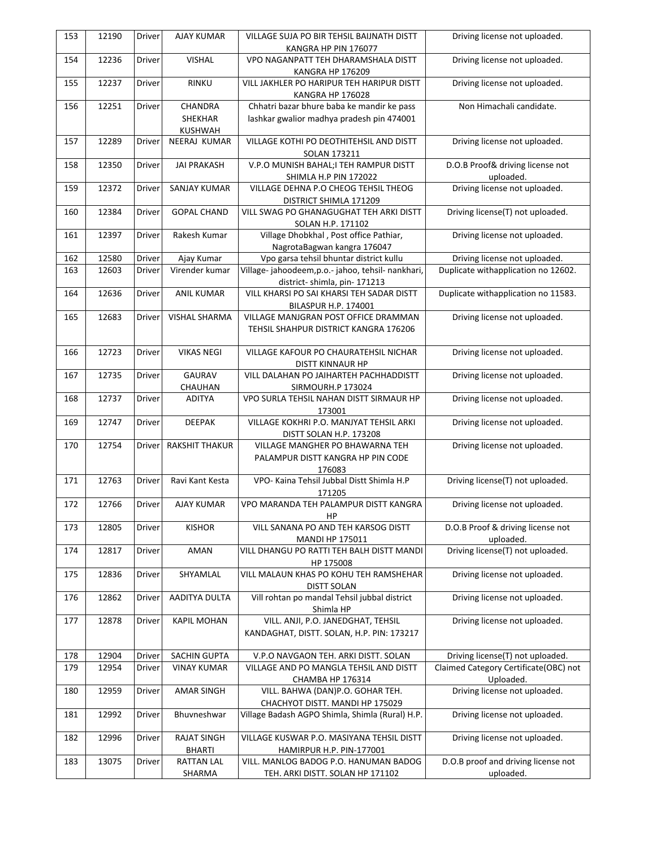| 153 | 12190 | Driver        | <b>AJAY KUMAR</b>     | VILLAGE SUJA PO BIR TEHSIL BAIJNATH DISTT                                | Driving license not uploaded.                      |
|-----|-------|---------------|-----------------------|--------------------------------------------------------------------------|----------------------------------------------------|
|     | 12236 |               | <b>VISHAL</b>         | KANGRA HP PIN 176077<br>VPO NAGANPATT TEH DHARAMSHALA DISTT              |                                                    |
| 154 |       | Driver        |                       | KANGRA HP 176209                                                         | Driving license not uploaded.                      |
| 155 | 12237 | Driver        | RINKU                 | VILL JAKHLER PO HARIPUR TEH HARIPUR DISTT                                | Driving license not uploaded.                      |
| 156 | 12251 | Driver        | CHANDRA               | KANGRA HP 176028<br>Chhatri bazar bhure baba ke mandir ke pass           | Non Himachali candidate.                           |
|     |       |               | SHEKHAR               | lashkar gwalior madhya pradesh pin 474001                                |                                                    |
|     |       |               | <b>KUSHWAH</b>        |                                                                          |                                                    |
| 157 | 12289 | Driver        | NEERAJ KUMAR          | VILLAGE KOTHI PO DEOTHITEHSIL AND DISTT                                  | Driving license not uploaded.                      |
|     |       |               |                       | SOLAN 173211                                                             |                                                    |
| 158 | 12350 | <b>Driver</b> | <b>JAI PRAKASH</b>    | V.P.O MUNISH BAHAL;I TEH RAMPUR DISTT                                    | D.O.B Proof& driving license not                   |
|     |       |               |                       | SHIMLA H.P PIN 172022                                                    | uploaded.                                          |
| 159 | 12372 | Driver        | SANJAY KUMAR          | VILLAGE DEHNA P.O CHEOG TEHSIL THEOG                                     | Driving license not uploaded.                      |
|     |       |               |                       | DISTRICT SHIMLA 171209                                                   |                                                    |
| 160 | 12384 | Driver        | <b>GOPAL CHAND</b>    | VILL SWAG PO GHANAGUGHAT TEH ARKI DISTT                                  | Driving license(T) not uploaded.                   |
|     |       |               |                       | SOLAN H.P. 171102                                                        |                                                    |
| 161 | 12397 | Driver        | Rakesh Kumar          | Village Dhobkhal, Post office Pathiar,                                   | Driving license not uploaded.                      |
|     |       |               |                       | NagrotaBagwan kangra 176047                                              |                                                    |
| 162 | 12580 | Driver        | Ajay Kumar            | Vpo garsa tehsil bhuntar district kullu                                  | Driving license not uploaded.                      |
| 163 | 12603 | Driver        | Virender kumar        | Village-jahoodeem, p.o.-jahoo, tehsil-nankhari,                          | Duplicate withapplication no 12602.                |
| 164 | 12636 | Driver        | <b>ANIL KUMAR</b>     | district-shimla, pin-171213<br>VILL KHARSI PO SAI KHARSI TEH SADAR DISTT | Duplicate withapplication no 11583.                |
|     |       |               |                       | <b>BILASPUR H.P. 174001</b>                                              |                                                    |
| 165 | 12683 | Driver        | <b>VISHAL SHARMA</b>  | VILLAGE MANJGRAN POST OFFICE DRAMMAN                                     | Driving license not uploaded.                      |
|     |       |               |                       | TEHSIL SHAHPUR DISTRICT KANGRA 176206                                    |                                                    |
|     |       |               |                       |                                                                          |                                                    |
| 166 | 12723 | Driver        | <b>VIKAS NEGI</b>     | VILLAGE KAFOUR PO CHAURATEHSIL NICHAR                                    | Driving license not uploaded.                      |
|     |       |               |                       | DISTT KINNAUR HP                                                         |                                                    |
| 167 | 12735 | Driver        | <b>GAURAV</b>         | VILL DALAHAN PO JAIHARTEH PACHHADDISTT                                   | Driving license not uploaded.                      |
|     |       |               | CHAUHAN               | SIRMOURH.P 173024                                                        |                                                    |
| 168 | 12737 | Driver        | <b>ADITYA</b>         | VPO SURLA TEHSIL NAHAN DISTT SIRMAUR HP                                  | Driving license not uploaded.                      |
|     |       |               |                       | 173001                                                                   |                                                    |
| 169 | 12747 | Driver        | <b>DEEPAK</b>         | VILLAGE KOKHRI P.O. MANJYAT TEHSIL ARKI                                  | Driving license not uploaded.                      |
|     |       |               |                       | DISTT SOLAN H.P. 173208                                                  |                                                    |
| 170 | 12754 | Driver        | <b>RAKSHIT THAKUR</b> | VILLAGE MANGHER PO BHAWARNA TEH                                          | Driving license not uploaded.                      |
|     |       |               |                       | PALAMPUR DISTT KANGRA HP PIN CODE                                        |                                                    |
|     |       |               |                       | 176083                                                                   |                                                    |
| 171 | 12763 | Driver        | Ravi Kant Kesta       | VPO- Kaina Tehsil Jubbal Distt Shimla H.P                                | Driving license(T) not uploaded.                   |
| 172 | 12766 | Driver        | <b>AJAY KUMAR</b>     | 171205<br>VPO MARANDA TEH PALAMPUR DISTT KANGRA                          | Driving license not uploaded.                      |
|     |       |               |                       | HP                                                                       |                                                    |
| 173 | 12805 | Driver        | <b>KISHOR</b>         | VILL SANANA PO AND TEH KARSOG DISTT                                      | D.O.B Proof & driving license not                  |
|     |       |               |                       | MANDI HP 175011                                                          | uploaded.                                          |
| 174 | 12817 | Driver        | AMAN                  | VILL DHANGU PO RATTI TEH BALH DISTT MANDI                                | Driving license(T) not uploaded.                   |
|     |       |               |                       | HP 175008                                                                |                                                    |
| 175 | 12836 | Driver        | SHYAMLAL              | VILL MALAUN KHAS PO KOHU TEH RAMSHEHAR                                   | Driving license not uploaded.                      |
|     |       |               |                       | <b>DISTT SOLAN</b>                                                       |                                                    |
| 176 | 12862 | Driver        | AADITYA DULTA         | Vill rohtan po mandal Tehsil jubbal district                             | Driving license not uploaded.                      |
|     |       |               |                       | Shimla HP                                                                |                                                    |
| 177 | 12878 | Driver        | <b>KAPIL MOHAN</b>    | VILL. ANJI, P.O. JANEDGHAT, TEHSIL                                       | Driving license not uploaded.                      |
|     |       |               |                       | KANDAGHAT, DISTT. SOLAN, H.P. PIN: 173217                                |                                                    |
|     |       |               |                       |                                                                          |                                                    |
| 178 | 12904 | Driver        | <b>SACHIN GUPTA</b>   | V.P.O NAVGAON TEH. ARKI DISTT. SOLAN                                     | Driving license(T) not uploaded.                   |
| 179 | 12954 | Driver        | <b>VINAY KUMAR</b>    | VILLAGE AND PO MANGLA TEHSIL AND DISTT<br>CHAMBA HP 176314               | Claimed Category Certificate(OBC) not<br>Uploaded. |
| 180 | 12959 | Driver        | <b>AMAR SINGH</b>     | VILL. BAHWA (DAN)P.O. GOHAR TEH.                                         | Driving license not uploaded.                      |
|     |       |               |                       | CHACHYOT DISTT. MANDI HP 175029                                          |                                                    |
| 181 | 12992 | Driver        | Bhuvneshwar           | Village Badash AGPO Shimla, Shimla (Rural) H.P.                          | Driving license not uploaded.                      |
|     |       |               |                       |                                                                          |                                                    |
| 182 | 12996 | Driver        | <b>RAJAT SINGH</b>    | VILLAGE KUSWAR P.O. MASIYANA TEHSIL DISTT                                | Driving license not uploaded.                      |
|     |       |               | <b>BHARTI</b>         | HAMIRPUR H.P. PIN-177001                                                 |                                                    |
| 183 | 13075 | Driver        | <b>RATTAN LAL</b>     | VILL. MANLOG BADOG P.O. HANUMAN BADOG                                    | D.O.B proof and driving license not                |
|     |       |               | SHARMA                | TEH. ARKI DISTT. SOLAN HP 171102                                         | uploaded.                                          |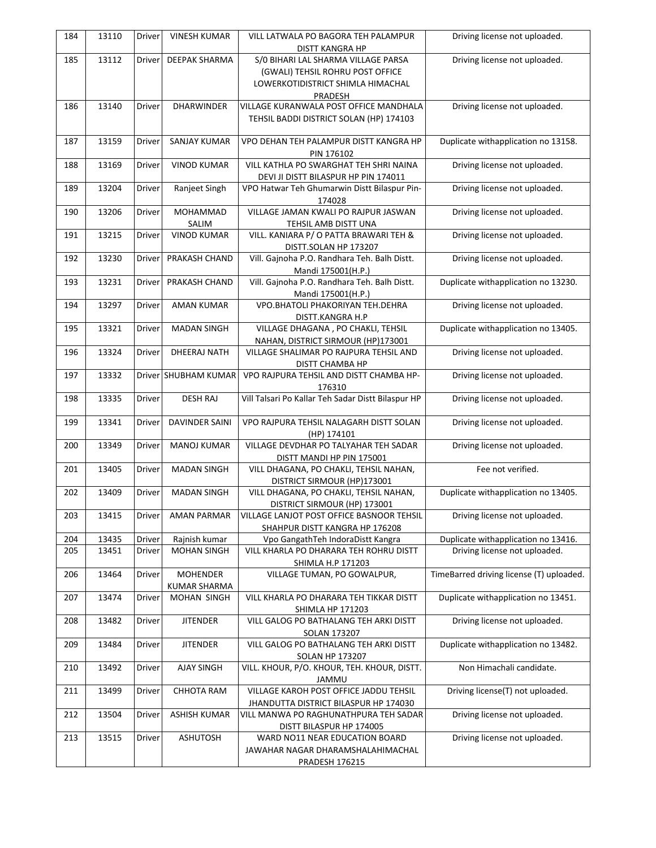| 184 | 13110 | Driver        | <b>VINESH KUMAR</b>   | VILL LATWALA PO BAGORA TEH PALAMPUR<br>DISTT KANGRA HP                | Driving license not uploaded.            |
|-----|-------|---------------|-----------------------|-----------------------------------------------------------------------|------------------------------------------|
| 185 | 13112 | Driver        | <b>DEEPAK SHARMA</b>  | S/0 BIHARI LAL SHARMA VILLAGE PARSA                                   | Driving license not uploaded.            |
|     |       |               |                       | (GWALI) TEHSIL ROHRU POST OFFICE                                      |                                          |
|     |       |               |                       | LOWERKOTIDISTRICT SHIMLA HIMACHAL                                     |                                          |
|     |       |               |                       | PRADESH                                                               |                                          |
| 186 | 13140 | Driver        | <b>DHARWINDER</b>     | VILLAGE KURANWALA POST OFFICE MANDHALA                                | Driving license not uploaded.            |
|     |       |               |                       | TEHSIL BADDI DISTRICT SOLAN (HP) 174103                               |                                          |
| 187 | 13159 | Driver        | <b>SANJAY KUMAR</b>   | VPO DEHAN TEH PALAMPUR DISTT KANGRA HP                                | Duplicate withapplication no 13158.      |
|     |       |               |                       | PIN 176102                                                            |                                          |
| 188 | 13169 | Driver        | <b>VINOD KUMAR</b>    | VILL KATHLA PO SWARGHAT TEH SHRI NAINA                                | Driving license not uploaded.            |
|     |       |               |                       | DEVI JI DISTT BILASPUR HP PIN 174011                                  |                                          |
| 189 | 13204 | Driver        | Ranjeet Singh         | VPO Hatwar Teh Ghumarwin Distt Bilaspur Pin-                          | Driving license not uploaded.            |
|     |       |               |                       | 174028                                                                |                                          |
| 190 | 13206 | Driver        | MOHAMMAD              | VILLAGE JAMAN KWALI PO RAJPUR JASWAN                                  | Driving license not uploaded.            |
|     |       |               | SALIM                 | TEHSIL AMB DISTT UNA                                                  |                                          |
| 191 | 13215 | Driver        | <b>VINOD KUMAR</b>    | VILL. KANIARA P/O PATTA BRAWARI TEH &                                 | Driving license not uploaded.            |
| 192 | 13230 | Driver        | PRAKASH CHAND         | DISTT.SOLAN HP 173207<br>Vill. Gajnoha P.O. Randhara Teh. Balh Distt. | Driving license not uploaded.            |
|     |       |               |                       | Mandi 175001(H.P.)                                                    |                                          |
| 193 | 13231 | Driver        | PRAKASH CHAND         | Vill. Gajnoha P.O. Randhara Teh. Balh Distt.                          | Duplicate withapplication no 13230.      |
|     |       |               |                       | Mandi 175001(H.P.)                                                    |                                          |
| 194 | 13297 | Driver        | <b>AMAN KUMAR</b>     | VPO.BHATOLI PHAKORIYAN TEH.DEHRA                                      | Driving license not uploaded.            |
|     |       |               |                       | DISTT.KANGRA H.P                                                      |                                          |
| 195 | 13321 | Driver        | <b>MADAN SINGH</b>    | VILLAGE DHAGANA, PO CHAKLI, TEHSIL                                    | Duplicate withapplication no 13405.      |
|     |       |               |                       | NAHAN, DISTRICT SIRMOUR (HP)173001                                    |                                          |
| 196 | 13324 | Driver        | DHEERAJ NATH          | VILLAGE SHALIMAR PO RAJPURA TEHSIL AND                                | Driving license not uploaded.            |
| 197 | 13332 |               | Driver SHUBHAM KUMAR  | DISTT CHAMBA HP<br>VPO RAJPURA TEHSIL AND DISTT CHAMBA HP-            | Driving license not uploaded.            |
|     |       |               |                       | 176310                                                                |                                          |
| 198 | 13335 | Driver        | <b>DESH RAJ</b>       | Vill Talsari Po Kallar Teh Sadar Distt Bilaspur HP                    | Driving license not uploaded.            |
|     |       |               |                       |                                                                       |                                          |
| 199 | 13341 | Driver        | <b>DAVINDER SAINI</b> | VPO RAJPURA TEHSIL NALAGARH DISTT SOLAN                               | Driving license not uploaded.            |
|     |       |               |                       | (HP) 174101                                                           |                                          |
| 200 | 13349 | Driver        | <b>MANOJ KUMAR</b>    | VILLAGE DEVDHAR PO TALYAHAR TEH SADAR<br>DISTT MANDI HP PIN 175001    | Driving license not uploaded.            |
| 201 | 13405 | Driver        | <b>MADAN SINGH</b>    | VILL DHAGANA, PO CHAKLI, TEHSIL NAHAN,                                | Fee not verified.                        |
|     |       |               |                       | DISTRICT SIRMOUR (HP)173001                                           |                                          |
| 202 | 13409 | Driver        | <b>MADAN SINGH</b>    | VILL DHAGANA, PO CHAKLI, TEHSIL NAHAN,                                | Duplicate withapplication no 13405.      |
|     |       |               |                       | DISTRICT SIRMOUR (HP) 173001                                          |                                          |
| 203 | 13415 | Driver        | AMAN PARMAR           | VILLAGE LANJOT POST OFFICE BASNOOR TEHSIL                             | Driving license not uploaded.            |
|     |       |               |                       | SHAHPUR DISTT KANGRA HP 176208                                        |                                          |
| 204 | 13435 | Driver        | Rajnish kumar         | Vpo GangathTeh IndoraDistt Kangra                                     | Duplicate withapplication no 13416.      |
| 205 | 13451 | Driver        | <b>MOHAN SINGH</b>    | VILL KHARLA PO DHARARA TEH ROHRU DISTT                                | Driving license not uploaded.            |
| 206 | 13464 | Driver        | <b>MOHENDER</b>       | SHIMLA H.P 171203<br>VILLAGE TUMAN, PO GOWALPUR,                      | TimeBarred driving license (T) uploaded. |
|     |       |               | <b>KUMAR SHARMA</b>   |                                                                       |                                          |
| 207 | 13474 | Driver        | MOHAN SINGH           | VILL KHARLA PO DHARARA TEH TIKKAR DISTT                               | Duplicate withapplication no 13451.      |
|     |       |               |                       | <b>SHIMLA HP 171203</b>                                               |                                          |
| 208 | 13482 | Driver        | <b>JITENDER</b>       | VILL GALOG PO BATHALANG TEH ARKI DISTT                                | Driving license not uploaded.            |
|     |       |               |                       | SOLAN 173207                                                          |                                          |
| 209 | 13484 | <b>Driver</b> | <b>JITENDER</b>       | VILL GALOG PO BATHALANG TEH ARKI DISTT                                | Duplicate withapplication no 13482.      |
| 210 | 13492 | Driver        | <b>AJAY SINGH</b>     | <b>SOLAN HP 173207</b><br>VILL. KHOUR, P/O. KHOUR, TEH. KHOUR, DISTT. | Non Himachali candidate.                 |
|     |       |               |                       | JAMMU                                                                 |                                          |
| 211 | 13499 | Driver        | <b>CHHOTA RAM</b>     | VILLAGE KAROH POST OFFICE JADDU TEHSIL                                | Driving license(T) not uploaded.         |
|     |       |               |                       | JHANDUTTA DISTRICT BILASPUR HP 174030                                 |                                          |
| 212 | 13504 | Driver        | <b>ASHISH KUMAR</b>   | VILL MANWA PO RAGHUNATHPURA TEH SADAR                                 | Driving license not uploaded.            |
|     |       |               |                       | DISTT BILASPUR HP 174005                                              |                                          |
| 213 | 13515 | Driver        | <b>ASHUTOSH</b>       | WARD NO11 NEAR EDUCATION BOARD                                        | Driving license not uploaded.            |
|     |       |               |                       | JAWAHAR NAGAR DHARAMSHALAHIMACHAL                                     |                                          |
|     |       |               |                       | <b>PRADESH 176215</b>                                                 |                                          |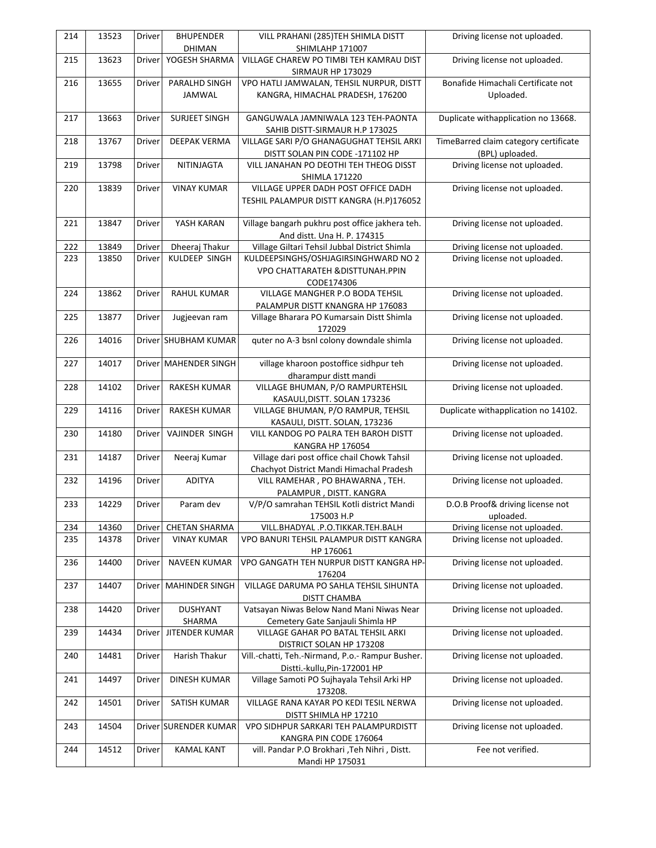| 214 | 13523 | Driver        | <b>BHUPENDER</b>               | VILL PRAHANI (285)TEH SHIMLA DISTT                                 | Driving license not uploaded.         |
|-----|-------|---------------|--------------------------------|--------------------------------------------------------------------|---------------------------------------|
| 215 | 13623 | Driver        | <b>DHIMAN</b><br>YOGESH SHARMA | SHIMLAHP 171007<br>VILLAGE CHAREW PO TIMBI TEH KAMRAU DIST         | Driving license not uploaded.         |
|     |       |               |                                | SIRMAUR HP 173029                                                  |                                       |
| 216 | 13655 | Driver        | PARALHD SINGH                  | VPO HATLI JAMWALAN, TEHSIL NURPUR, DISTT                           | Bonafide Himachali Certificate not    |
|     |       |               | JAMWAL                         | KANGRA, HIMACHAL PRADESH, 176200                                   | Uploaded.                             |
|     |       |               |                                |                                                                    |                                       |
| 217 | 13663 | Driver        | SURJEET SINGH                  | GANGUWALA JAMNIWALA 123 TEH-PAONTA                                 | Duplicate withapplication no 13668.   |
|     |       |               |                                | SAHIB DISTT-SIRMAUR H.P 173025                                     |                                       |
| 218 | 13767 | Driver        | DEEPAK VERMA                   | VILLAGE SARI P/O GHANAGUGHAT TEHSIL ARKI                           | TimeBarred claim category certificate |
|     |       |               |                                | DISTT SOLAN PIN CODE -171102 HP                                    | (BPL) uploaded.                       |
| 219 | 13798 | Driver        | NITINJAGTA                     | VILL JANAHAN PO DEOTHI TEH THEOG DISST                             | Driving license not uploaded.         |
|     |       |               |                                | <b>SHIMLA 171220</b>                                               |                                       |
| 220 | 13839 | Driver        | <b>VINAY KUMAR</b>             | VILLAGE UPPER DADH POST OFFICE DADH                                | Driving license not uploaded.         |
|     |       |               |                                | TESHIL PALAMPUR DISTT KANGRA (H.P)176052                           |                                       |
| 221 | 13847 | Driver        | YASH KARAN                     | Village bangarh pukhru post office jakhera teh.                    | Driving license not uploaded.         |
|     |       |               |                                | And distt. Una H. P. 174315                                        |                                       |
| 222 | 13849 | Driver        | Dheeraj Thakur                 | Village Giltari Tehsil Jubbal District Shimla                      | Driving license not uploaded.         |
| 223 | 13850 | Driver        | KULDEEP SINGH                  | KULDEEPSINGHS/OSHJAGIRSINGHWARD NO 2                               | Driving license not uploaded.         |
|     |       |               |                                | <b>VPO CHATTARATEH &amp; DISTTUNAH.PPIN</b>                        |                                       |
|     |       |               |                                | CODE174306                                                         |                                       |
| 224 | 13862 | Driver        | <b>RAHUL KUMAR</b>             | VILLAGE MANGHER P.O BODA TEHSIL                                    | Driving license not uploaded.         |
|     |       |               |                                | PALAMPUR DISTT KNANGRA HP 176083                                   |                                       |
| 225 | 13877 | Driver        | Jugjeevan ram                  | Village Bharara PO Kumarsain Distt Shimla                          | Driving license not uploaded.         |
|     |       |               |                                | 172029                                                             |                                       |
| 226 | 14016 |               | Driver SHUBHAM KUMAR           | quter no A-3 bsnl colony downdale shimla                           | Driving license not uploaded.         |
|     |       |               |                                |                                                                    |                                       |
| 227 | 14017 |               | Driver MAHENDER SINGH          | village kharoon postoffice sidhpur teh                             | Driving license not uploaded.         |
|     |       |               |                                | dharampur distt mandi                                              |                                       |
| 228 | 14102 | Driver        | <b>RAKESH KUMAR</b>            | VILLAGE BHUMAN, P/O RAMPURTEHSIL                                   | Driving license not uploaded.         |
| 229 | 14116 | Driver        | <b>RAKESH KUMAR</b>            | KASAULI, DISTT. SOLAN 173236<br>VILLAGE BHUMAN, P/O RAMPUR, TEHSIL | Duplicate withapplication no 14102.   |
|     |       |               |                                | KASAULI, DISTT. SOLAN, 173236                                      |                                       |
| 230 | 14180 | Driver        | VAJINDER SINGH                 | VILL KANDOG PO PALRA TEH BAROH DISTT                               | Driving license not uploaded.         |
|     |       |               |                                | KANGRA HP 176054                                                   |                                       |
| 231 | 14187 | Driver        | Neeraj Kumar                   | Village dari post office chail Chowk Tahsil                        | Driving license not uploaded.         |
|     |       |               |                                | Chachyot District Mandi Himachal Pradesh                           |                                       |
| 232 | 14196 | Driver        | <b>ADITYA</b>                  | VILL RAMEHAR, PO BHAWARNA, TEH.                                    | Driving license not uploaded.         |
|     |       |               |                                | PALAMPUR, DISTT. KANGRA                                            |                                       |
| 233 | 14229 | Driver        | Param dev                      | V/P/O samrahan TEHSIL Kotli district Mandi                         | D.O.B Proof& driving license not      |
|     |       |               |                                | 175003 H.P                                                         | uploaded.                             |
| 234 | 14360 | Driver        | <b>CHETAN SHARMA</b>           | VILL.BHADYAL .P.O.TIKKAR.TEH.BALH                                  | Driving license not uploaded.         |
| 235 | 14378 | <b>Driver</b> | <b>VINAY KUMAR</b>             | VPO BANURI TEHSIL PALAMPUR DISTT KANGRA                            | Driving license not uploaded.         |
|     |       |               |                                | HP 176061                                                          |                                       |
| 236 | 14400 | Driver        | <b>NAVEEN KUMAR</b>            | VPO GANGATH TEH NURPUR DISTT KANGRA HP-                            | Driving license not uploaded.         |
| 237 | 14407 | Driver        | <b>MAHINDER SINGH</b>          | 176204<br>VILLAGE DARUMA PO SAHLA TEHSIL SIHUNTA                   | Driving license not uploaded.         |
|     |       |               |                                | <b>DISTT CHAMBA</b>                                                |                                       |
| 238 | 14420 | Driver        | <b>DUSHYANT</b>                | Vatsayan Niwas Below Nand Mani Niwas Near                          | Driving license not uploaded.         |
|     |       |               | SHARMA                         | Cemetery Gate Sanjauli Shimla HP                                   |                                       |
| 239 | 14434 | Driver        | <b>JITENDER KUMAR</b>          | VILLAGE GAHAR PO BATAL TEHSIL ARKI                                 | Driving license not uploaded.         |
|     |       |               |                                | DISTRICT SOLAN HP 173208                                           |                                       |
| 240 | 14481 | Driver        | Harish Thakur                  | Vill.-chatti, Teh.-Nirmand, P.o.- Rampur Busher.                   | Driving license not uploaded.         |
|     |       |               |                                | Distti.-kullu, Pin-172001 HP                                       |                                       |
| 241 | 14497 | Driver        | <b>DINESH KUMAR</b>            | Village Samoti PO Sujhayala Tehsil Arki HP                         | Driving license not uploaded.         |
|     |       |               |                                | 173208.                                                            |                                       |
| 242 | 14501 | Driver        | SATISH KUMAR                   | VILLAGE RANA KAYAR PO KEDI TESIL NERWA                             | Driving license not uploaded.         |
|     |       |               |                                | DISTT SHIMLA HP 17210                                              |                                       |
| 243 | 14504 |               | Driver SURENDER KUMAR          | VPO SIDHPUR SARKARI TEH PALAMPURDISTT                              | Driving license not uploaded.         |
|     |       |               |                                | KANGRA PIN CODE 176064                                             |                                       |
| 244 | 14512 | Driver        | <b>KAMAL KANT</b>              | vill. Pandar P.O Brokhari , Teh Nihri, Distt.                      | Fee not verified.                     |
|     |       |               |                                | Mandi HP 175031                                                    |                                       |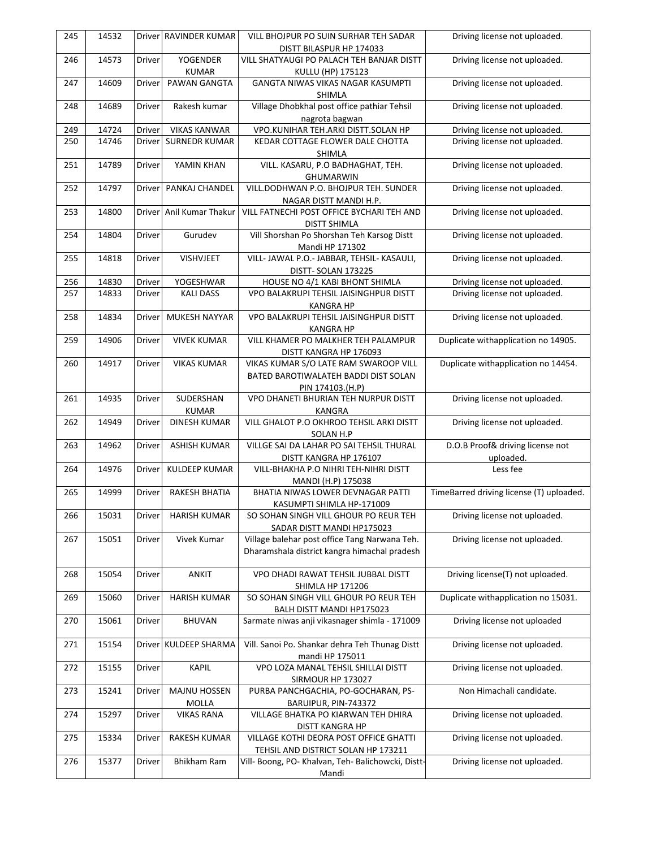| 245 | 14532 |               | Driver RAVINDER KUMAR    | VILL BHOJPUR PO SUIN SURHAR TEH SADAR                    | Driving license not uploaded.            |
|-----|-------|---------------|--------------------------|----------------------------------------------------------|------------------------------------------|
|     |       |               |                          | DISTT BILASPUR HP 174033                                 |                                          |
| 246 | 14573 | Driver        | YOGENDER                 | VILL SHATYAUGI PO PALACH TEH BANJAR DISTT                | Driving license not uploaded.            |
|     |       |               | <b>KUMAR</b>             | KULLU (HP) 175123                                        |                                          |
| 247 | 14609 | Driver        | PAWAN GANGTA             | GANGTA NIWAS VIKAS NAGAR KASUMPTI<br>SHIMLA              | Driving license not uploaded.            |
| 248 | 14689 | Driver        | Rakesh kumar             | Village Dhobkhal post office pathiar Tehsil              | Driving license not uploaded.            |
|     |       |               |                          | nagrota bagwan                                           |                                          |
| 249 | 14724 | Driver        | <b>VIKAS KANWAR</b>      | VPO.KUNIHAR TEH.ARKI DISTT.SOLAN HP                      | Driving license not uploaded.            |
| 250 | 14746 | <b>Driver</b> | <b>SURNEDR KUMAR</b>     | KEDAR COTTAGE FLOWER DALE CHOTTA                         | Driving license not uploaded.            |
|     |       |               |                          | SHIMLA                                                   |                                          |
| 251 | 14789 | Driver        | YAMIN KHAN               | VILL. KASARU, P.O BADHAGHAT, TEH.                        | Driving license not uploaded.            |
|     |       |               |                          | <b>GHUMARWIN</b>                                         |                                          |
| 252 | 14797 | <b>Driver</b> | PANKAJ CHANDEL           | VILL.DODHWAN P.O. BHOJPUR TEH. SUNDER                    | Driving license not uploaded.            |
|     |       |               |                          | NAGAR DISTT MANDI H.P.                                   |                                          |
| 253 | 14800 |               | Driver Anil Kumar Thakur | VILL FATNECHI POST OFFICE BYCHARI TEH AND                | Driving license not uploaded.            |
|     |       |               |                          | <b>DISTT SHIMLA</b>                                      |                                          |
| 254 | 14804 | Driver        | Gurudev                  | Vill Shorshan Po Shorshan Teh Karsog Distt               | Driving license not uploaded.            |
|     |       |               |                          | Mandi HP 171302                                          |                                          |
| 255 | 14818 | <b>Driver</b> | VISHVJEET                | VILL- JAWAL P.O.- JABBAR, TEHSIL- KASAULI,               | Driving license not uploaded.            |
|     |       |               |                          | DISTT-SOLAN 173225                                       |                                          |
| 256 | 14830 | Driver        | YOGESHWAR                | HOUSE NO 4/1 KABI BHONT SHIMLA                           | Driving license not uploaded.            |
| 257 | 14833 | Driver        | <b>KALI DASS</b>         | VPO BALAKRUPI TEHSIL JAISINGHPUR DISTT                   | Driving license not uploaded.            |
|     |       |               |                          | <b>KANGRA HP</b>                                         |                                          |
| 258 | 14834 | <b>Driver</b> | MUKESH NAYYAR            | VPO BALAKRUPI TEHSIL JAISINGHPUR DISTT                   | Driving license not uploaded.            |
|     |       |               |                          | <b>KANGRA HP</b>                                         |                                          |
| 259 | 14906 | Driver        | <b>VIVEK KUMAR</b>       | VILL KHAMER PO MALKHER TEH PALAMPUR                      | Duplicate withapplication no 14905.      |
|     |       |               |                          | DISTT KANGRA HP 176093                                   |                                          |
| 260 | 14917 | Driver        | <b>VIKAS KUMAR</b>       | VIKAS KUMAR S/O LATE RAM SWAROOP VILL                    | Duplicate withapplication no 14454.      |
|     |       |               |                          | BATED BAROTIWALATEH BADDI DIST SOLAN                     |                                          |
| 261 | 14935 | Driver        | SUDERSHAN                | PIN 174103.(H.P)<br>VPO DHANETI BHURIAN TEH NURPUR DISTT | Driving license not uploaded.            |
|     |       |               | <b>KUMAR</b>             | KANGRA                                                   |                                          |
| 262 | 14949 | Driver        | <b>DINESH KUMAR</b>      | VILL GHALOT P.O OKHROO TEHSIL ARKI DISTT                 | Driving license not uploaded.            |
|     |       |               |                          | SOLAN H.P                                                |                                          |
| 263 | 14962 | Driver        | ASHISH KUMAR             | VILLGE SAI DA LAHAR PO SAI TEHSIL THURAL                 | D.O.B Proof& driving license not         |
|     |       |               |                          | DISTT KANGRA HP 176107                                   | uploaded.                                |
| 264 | 14976 | Driver        | <b>KULDEEP KUMAR</b>     | VILL-BHAKHA P.O NIHRI TEH-NIHRI DISTT                    | Less fee                                 |
|     |       |               |                          | MANDI (H.P) 175038                                       |                                          |
| 265 | 14999 | Driver        | RAKESH BHATIA            | BHATIA NIWAS LOWER DEVNAGAR PATTI                        | TimeBarred driving license (T) uploaded. |
|     |       |               |                          | KASUMPTI SHIMLA HP-171009                                |                                          |
| 266 | 15031 | Driver        | <b>HARISH KUMAR</b>      | SO SOHAN SINGH VILL GHOUR PO REUR TEH                    | Driving license not uploaded.            |
|     |       |               |                          | SADAR DISTT MANDI HP175023                               |                                          |
| 267 | 15051 | Driver        | Vivek Kumar              | Village balehar post office Tang Narwana Teh.            | Driving license not uploaded.            |
|     |       |               |                          | Dharamshala district kangra himachal pradesh             |                                          |
|     |       |               |                          |                                                          |                                          |
| 268 | 15054 | Driver        | <b>ANKIT</b>             | VPO DHADI RAWAT TEHSIL JUBBAL DISTT                      | Driving license(T) not uploaded.         |
|     |       |               |                          | <b>SHIMLA HP 171206</b>                                  |                                          |
| 269 | 15060 | Driver        | <b>HARISH KUMAR</b>      | SO SOHAN SINGH VILL GHOUR PO REUR TEH                    | Duplicate withapplication no 15031.      |
|     |       |               |                          | BALH DISTT MANDI HP175023                                |                                          |
| 270 | 15061 | Driver        | <b>BHUVAN</b>            | Sarmate niwas anji vikasnager shimla - 171009            | Driving license not uploaded             |
|     |       |               |                          |                                                          |                                          |
| 271 | 15154 |               | Driver KULDEEP SHARMA    | Vill. Sanoi Po. Shankar dehra Teh Thunag Distt           | Driving license not uploaded.            |
|     |       |               |                          | mandi HP 175011                                          |                                          |
| 272 | 15155 | Driver        | <b>KAPIL</b>             | VPO LOZA MANAL TEHSIL SHILLAI DISTT                      | Driving license not uploaded.            |
|     |       |               |                          | SIRMOUR HP 173027                                        |                                          |
| 273 | 15241 | Driver        | <b>MAJNU HOSSEN</b>      | PURBA PANCHGACHIA, PO-GOCHARAN, PS-                      | Non Himachali candidate.                 |
|     |       |               | MOLLA                    | BARUIPUR, PIN-743372                                     |                                          |
| 274 | 15297 | Driver        | <b>VIKAS RANA</b>        | VILLAGE BHATKA PO KIARWAN TEH DHIRA                      | Driving license not uploaded.            |
|     |       |               |                          | DISTT KANGRA HP                                          |                                          |
| 275 | 15334 | Driver        | RAKESH KUMAR             | VILLAGE KOTHI DEORA POST OFFICE GHATTI                   | Driving license not uploaded.            |
|     | 15377 | Driver        | <b>Bhikham Ram</b>       | TEHSIL AND DISTRICT SOLAN HP 173211                      |                                          |
| 276 |       |               |                          | Vill- Boong, PO- Khalvan, Teh- Balichowcki, Distt-       | Driving license not uploaded.            |
|     |       |               |                          | Mandi                                                    |                                          |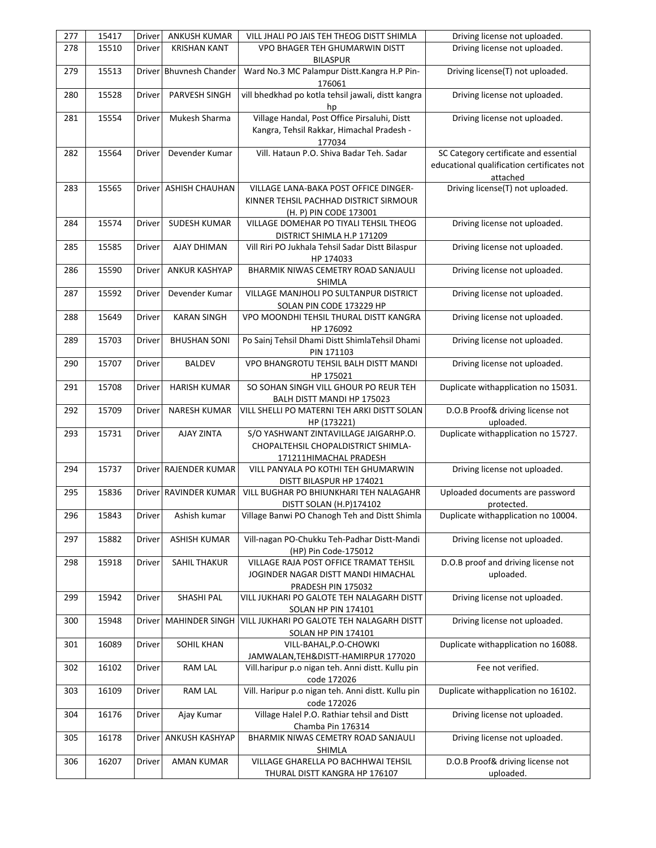| 277 | 15417 | Driver        | ANKUSH KUMAR            | VILL JHALI PO JAIS TEH THEOG DISTT SHIMLA                               | Driving license not uploaded.                          |
|-----|-------|---------------|-------------------------|-------------------------------------------------------------------------|--------------------------------------------------------|
| 278 | 15510 | Driver        | <b>KRISHAN KANT</b>     | VPO BHAGER TEH GHUMARWIN DISTT<br><b>BILASPUR</b>                       | Driving license not uploaded.                          |
| 279 | 15513 |               | Driver Bhuvnesh Chander | Ward No.3 MC Palampur Distt.Kangra H.P Pin-<br>176061                   | Driving license(T) not uploaded.                       |
| 280 | 15528 | Driver        | PARVESH SINGH           | vill bhedkhad po kotla tehsil jawali, distt kangra<br>hp                | Driving license not uploaded.                          |
| 281 | 15554 | Driver        | Mukesh Sharma           | Village Handal, Post Office Pirsaluhi, Distt                            | Driving license not uploaded.                          |
|     |       |               |                         | Kangra, Tehsil Rakkar, Himachal Pradesh -                               |                                                        |
|     | 15564 |               |                         | 177034                                                                  |                                                        |
| 282 |       | Driver        | Devender Kumar          | Vill. Hataun P.O. Shiva Badar Teh. Sadar                                | SC Category certificate and essential                  |
|     |       |               |                         |                                                                         | educational qualification certificates not<br>attached |
| 283 | 15565 |               | Driver ASHISH CHAUHAN   | VILLAGE LANA-BAKA POST OFFICE DINGER-                                   | Driving license(T) not uploaded.                       |
|     |       |               |                         | KINNER TEHSIL PACHHAD DISTRICT SIRMOUR                                  |                                                        |
|     |       |               |                         | (H. P) PIN CODE 173001                                                  |                                                        |
| 284 | 15574 | Driver        | <b>SUDESH KUMAR</b>     | VILLAGE DOMEHAR PO TIYALI TEHSIL THEOG<br>DISTRICT SHIMLA H.P 171209    | Driving license not uploaded.                          |
| 285 | 15585 | Driver        | AJAY DHIMAN             | Vill Riri PO Jukhala Tehsil Sadar Distt Bilaspur                        | Driving license not uploaded.                          |
|     |       |               |                         | HP 174033                                                               |                                                        |
| 286 | 15590 | Driver        | <b>ANKUR KASHYAP</b>    | BHARMIK NIWAS CEMETRY ROAD SANJAULI                                     | Driving license not uploaded.                          |
|     |       |               |                         | SHIMLA                                                                  |                                                        |
| 287 | 15592 | <b>Driver</b> | Devender Kumar          | VILLAGE MANJHOLI PO SULTANPUR DISTRICT                                  | Driving license not uploaded.                          |
|     |       |               |                         | SOLAN PIN CODE 173229 HP                                                |                                                        |
| 288 | 15649 | Driver        | <b>KARAN SINGH</b>      | VPO MOONDHI TEHSIL THURAL DISTT KANGRA                                  | Driving license not uploaded.                          |
|     |       |               |                         | HP 176092                                                               |                                                        |
| 289 | 15703 | Driver        | <b>BHUSHAN SONI</b>     | Po Sainj Tehsil Dhami Distt ShimlaTehsil Dhami                          | Driving license not uploaded.                          |
|     |       |               |                         | PIN 171103                                                              |                                                        |
| 290 | 15707 | Driver        | <b>BALDEV</b>           | VPO BHANGROTU TEHSIL BALH DISTT MANDI                                   | Driving license not uploaded.                          |
| 291 | 15708 | Driver        | <b>HARISH KUMAR</b>     | HP 175021<br>SO SOHAN SINGH VILL GHOUR PO REUR TEH                      | Duplicate withapplication no 15031.                    |
|     |       |               |                         | BALH DISTT MANDI HP 175023                                              |                                                        |
| 292 | 15709 | Driver        | <b>NARESH KUMAR</b>     | VILL SHELLI PO MATERNI TEH ARKI DISTT SOLAN                             | D.O.B Proof& driving license not                       |
|     |       |               |                         | HP (173221)                                                             | uploaded.                                              |
| 293 | 15731 | <b>Driver</b> | AJAY ZINTA              | S/O YASHWANT ZINTAVILLAGE JAIGARHP.O.                                   | Duplicate withapplication no 15727.                    |
|     |       |               |                         | <b>CHOPALTEHSIL CHOPALDISTRICT SHIMLA-</b>                              |                                                        |
|     |       |               |                         | 171211HIMACHAL PRADESH                                                  |                                                        |
| 294 | 15737 |               | Driver RAJENDER KUMAR   | VILL PANYALA PO KOTHI TEH GHUMARWIN                                     | Driving license not uploaded.                          |
|     |       |               |                         | DISTT BILASPUR HP 174021                                                |                                                        |
| 295 | 15836 |               | Driver RAVINDER KUMAR   | VILL BUGHAR PO BHIUNKHARI TEH NALAGAHR                                  | Uploaded documents are password                        |
|     |       |               |                         | DISTT SOLAN (H.P)174102                                                 | protected.                                             |
| 296 | 15843 | Driver        | Ashish kumar            | Village Banwi PO Chanogh Teh and Distt Shimla                           | Duplicate withapplication no 10004.                    |
| 297 | 15882 | Driver        | ASHISH KUMAR            | Vill-nagan PO-Chukku Teh-Padhar Distt-Mandi                             | Driving license not uploaded.                          |
|     |       |               |                         | (HP) Pin Code-175012                                                    |                                                        |
| 298 | 15918 | <b>Driver</b> | SAHIL THAKUR            | VILLAGE RAJA POST OFFICE TRAMAT TEHSIL                                  | D.O.B proof and driving license not                    |
|     |       |               |                         | JOGINDER NAGAR DISTT MANDI HIMACHAL                                     | uploaded.                                              |
|     |       |               |                         | PRADESH PIN 175032                                                      |                                                        |
| 299 | 15942 | Driver        | SHASHI PAL              | VILL JUKHARI PO GALOTE TEH NALAGARH DISTT                               | Driving license not uploaded.                          |
|     |       |               |                         | <b>SOLAN HP PIN 174101</b><br>VILL JUKHARI PO GALOTE TEH NALAGARH DISTT | Driving license not uploaded.                          |
| 300 | 15948 | <b>Driver</b> | <b>MAHINDER SINGH</b>   | SOLAN HP PIN 174101                                                     |                                                        |
| 301 | 16089 | Driver        | SOHIL KHAN              | VILL-BAHAL, P.O-CHOWKI                                                  | Duplicate withapplication no 16088.                    |
|     |       |               |                         | JAMWALAN, TEH&DISTT-HAMIRPUR 177020                                     |                                                        |
| 302 | 16102 | Driver        | RAM LAL                 | Vill.haripur p.o nigan teh. Anni distt. Kullu pin                       | Fee not verified.                                      |
|     |       |               |                         | code 172026                                                             |                                                        |
| 303 | 16109 | Driver        | RAM LAL                 | Vill. Haripur p.o nigan teh. Anni distt. Kullu pin                      | Duplicate withapplication no 16102.                    |
|     |       |               |                         | code 172026                                                             |                                                        |
| 304 | 16176 | Driver        | Ajay Kumar              | Village Halel P.O. Rathiar tehsil and Distt                             | Driving license not uploaded.                          |
|     |       |               |                         | Chamba Pin 176314                                                       |                                                        |
| 305 | 16178 | Driver        | ANKUSH KASHYAP          | BHARMIK NIWAS CEMETRY ROAD SANJAULI                                     | Driving license not uploaded.                          |
| 306 | 16207 | Driver        | <b>AMAN KUMAR</b>       | SHIMLA<br>VILLAGE GHARELLA PO BACHHWAI TEHSIL                           | D.O.B Proof& driving license not                       |
|     |       |               |                         | THURAL DISTT KANGRA HP 176107                                           | uploaded.                                              |
|     |       |               |                         |                                                                         |                                                        |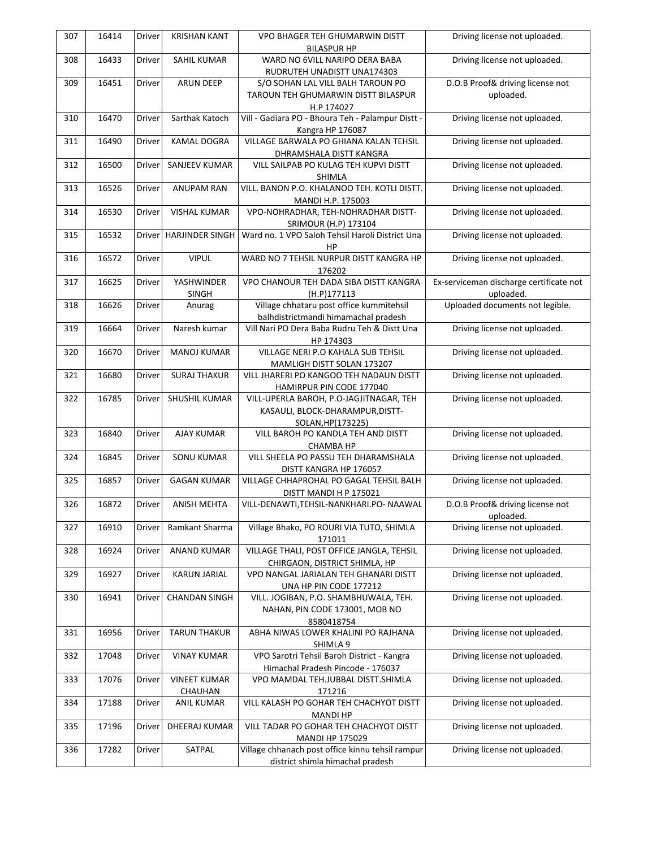| 307 | 16414 | <b>Driver</b> | <b>KRISHAN KANT</b>    | <b>VPO BHAGER TEH GHUMARWIN DISTT</b>             | Driving license not uploaded.           |
|-----|-------|---------------|------------------------|---------------------------------------------------|-----------------------------------------|
|     |       |               |                        | <b>BILASPUR HP</b>                                |                                         |
| 308 | 16433 | Driver        | SAHIL KUMAR            | WARD NO 6VILL NARIPO DERA BABA                    | Driving license not uploaded.           |
|     |       |               |                        | RUDRUTEH UNADISTT UNA174303                       |                                         |
| 309 | 16451 | Driver        | <b>ARUN DEEP</b>       | S/O SOHAN LAL VILL BALH TAROUN PO                 | D.O.B Proof& driving license not        |
|     |       |               |                        | TAROUN TEH GHUMARWIN DISTT BILASPUR               | uploaded.                               |
|     |       |               |                        | H.P 174027                                        |                                         |
| 310 | 16470 | Driver        | Sarthak Katoch         | Vill - Gadiara PO - Bhoura Teh - Palampur Distt - | Driving license not uploaded.           |
|     |       |               |                        | Kangra HP 176087                                  |                                         |
| 311 | 16490 | Driver        | <b>KAMAL DOGRA</b>     | VILLAGE BARWALA PO GHIANA KALAN TEHSIL            | Driving license not uploaded.           |
|     |       |               |                        | DHRAMSHALA DISTT KANGRA                           |                                         |
| 312 | 16500 | Driver        | SANJEEV KUMAR          | VILL SAILPAB PO KULAG TEH KUPVI DISTT             | Driving license not uploaded.           |
|     |       |               |                        | SHIMLA                                            |                                         |
| 313 | 16526 | Driver        | <b>ANUPAM RAN</b>      | VILL. BANON P.O. KHALANOO TEH. KOTLI DISTT.       | Driving license not uploaded.           |
|     |       |               |                        | MANDI H.P. 175003                                 |                                         |
| 314 | 16530 | Driver        | <b>VISHAL KUMAR</b>    | VPO-NOHRADHAR, TEH-NOHRADHAR DISTT-               | Driving license not uploaded.           |
|     |       |               |                        | SRIMOUR (H.P) 173104                              |                                         |
| 315 | 16532 |               | Driver HARJINDER SINGH | Ward no. 1 VPO Saloh Tehsil Haroli District Una   | Driving license not uploaded.           |
|     |       |               |                        | HP                                                |                                         |
|     | 16572 |               | <b>VIPUL</b>           | WARD NO 7 TEHSIL NURPUR DISTT KANGRA HP           |                                         |
| 316 |       | Driver        |                        |                                                   | Driving license not uploaded.           |
|     |       |               |                        | 176202                                            |                                         |
| 317 | 16625 | Driver        | YASHWINDER             | VPO CHANOUR TEH DADA SIBA DISTT KANGRA            | Ex-serviceman discharge certificate not |
|     |       |               | <b>SINGH</b>           | (H.P)177113                                       | uploaded.                               |
| 318 | 16626 | Driver        | Anurag                 | Village chhataru post office kummitehsil          | Uploaded documents not legible.         |
|     |       |               |                        | balhdistrictmandi himamachal pradesh              |                                         |
| 319 | 16664 | Driver        | Naresh kumar           | Vill Nari PO Dera Baba Rudru Teh & Distt Una      | Driving license not uploaded.           |
|     |       |               |                        | HP 174303                                         |                                         |
| 320 | 16670 | Driver        | <b>MANOJ KUMAR</b>     | VILLAGE NERI P.O KAHALA SUB TEHSIL                | Driving license not uploaded.           |
|     |       |               |                        | MAMLIGH DISTT SOLAN 173207                        |                                         |
| 321 | 16680 | Driver        | <b>SURAJ THAKUR</b>    | VILL JHARERI PO KANGOO TEH NADAUN DISTT           | Driving license not uploaded.           |
|     |       |               |                        | HAMIRPUR PIN CODE 177040                          |                                         |
| 322 | 16785 | Driver        | SHUSHIL KUMAR          | VILL-UPERLA BAROH, P.O-JAGJITNAGAR, TEH           | Driving license not uploaded.           |
|     |       |               |                        | KASAULI, BLOCK-DHARAMPUR, DISTT-                  |                                         |
|     |       |               |                        | SOLAN, HP(173225)                                 |                                         |
| 323 | 16840 | Driver        | <b>AJAY KUMAR</b>      | VILL BAROH PO KANDLA TEH AND DISTT                | Driving license not uploaded.           |
|     |       |               |                        | <b>CHAMBA HP</b>                                  |                                         |
| 324 | 16845 | Driver        | <b>SONU KUMAR</b>      | VILL SHEELA PO PASSU TEH DHARAMSHALA              | Driving license not uploaded.           |
|     |       |               |                        | DISTT KANGRA HP 176057                            |                                         |
| 325 | 16857 | Driver        | <b>GAGAN KUMAR</b>     | VILLAGE CHHAPROHAL PO GAGAL TEHSIL BALH           | Driving license not uploaded.           |
|     |       |               |                        | DISTT MANDI H P 175021                            |                                         |
| 326 | 16872 | Driver        | <b>ANISH MEHTA</b>     | VILL-DENAWTI, TEHSIL-NANKHARI.PO- NAAWAL          | D.O.B Proof& driving license not        |
|     |       |               |                        |                                                   | uploaded.                               |
| 327 | 16910 | Driver        | Ramkant Sharma         | Village Bhako, PO ROURI VIA TUTO, SHIMLA          | Driving license not uploaded.           |
|     |       |               |                        |                                                   |                                         |
|     |       |               |                        | 171011                                            |                                         |
| 328 | 16924 | Driver        | <b>ANAND KUMAR</b>     | VILLAGE THALI, POST OFFICE JANGLA, TEHSIL         | Driving license not uploaded.           |
|     |       |               |                        | CHIRGAON, DISTRICT SHIMLA, HP                     |                                         |
| 329 | 16927 | Driver        | <b>KARUN JARIAL</b>    | VPO NANGAL JARIALAN TEH GHANARI DISTT             | Driving license not uploaded.           |
|     |       |               |                        | UNA HP PIN CODE 177212                            |                                         |
| 330 | 16941 | Driver        | <b>CHANDAN SINGH</b>   | VILL. JOGIBAN, P.O. SHAMBHUWALA, TEH.             | Driving license not uploaded.           |
|     |       |               |                        | NAHAN, PIN CODE 173001, MOB NO                    |                                         |
|     |       |               |                        | 8580418754                                        |                                         |
| 331 | 16956 | Driver        | <b>TARUN THAKUR</b>    | ABHA NIWAS LOWER KHALINI PO RAJHANA               | Driving license not uploaded.           |
|     |       |               |                        | SHIMLA 9                                          |                                         |
| 332 | 17048 | Driver        | <b>VINAY KUMAR</b>     | VPO Sarotri Tehsil Baroh District - Kangra        | Driving license not uploaded.           |
|     |       |               |                        | Himachal Pradesh Pincode - 176037                 |                                         |
| 333 | 17076 | Driver        | <b>VINEET KUMAR</b>    | VPO MAMDAL TEH.JUBBAL DISTT.SHIMLA                | Driving license not uploaded.           |
|     |       |               | CHAUHAN                | 171216                                            |                                         |
| 334 | 17188 | Driver        | <b>ANIL KUMAR</b>      | VILL KALASH PO GOHAR TEH CHACHYOT DISTT           | Driving license not uploaded.           |
|     |       |               |                        | <b>MANDI HP</b>                                   |                                         |
| 335 | 17196 | Driver        | DHEERAJ KUMAR          | VILL TADAR PO GOHAR TEH CHACHYOT DISTT            | Driving license not uploaded.           |
|     |       |               |                        | <b>MANDI HP 175029</b>                            |                                         |
| 336 | 17282 | Driver        | SATPAL                 | Village chhanach post office kinnu tehsil rampur  | Driving license not uploaded.           |
|     |       |               |                        | district shimla himachal pradesh                  |                                         |
|     |       |               |                        |                                                   |                                         |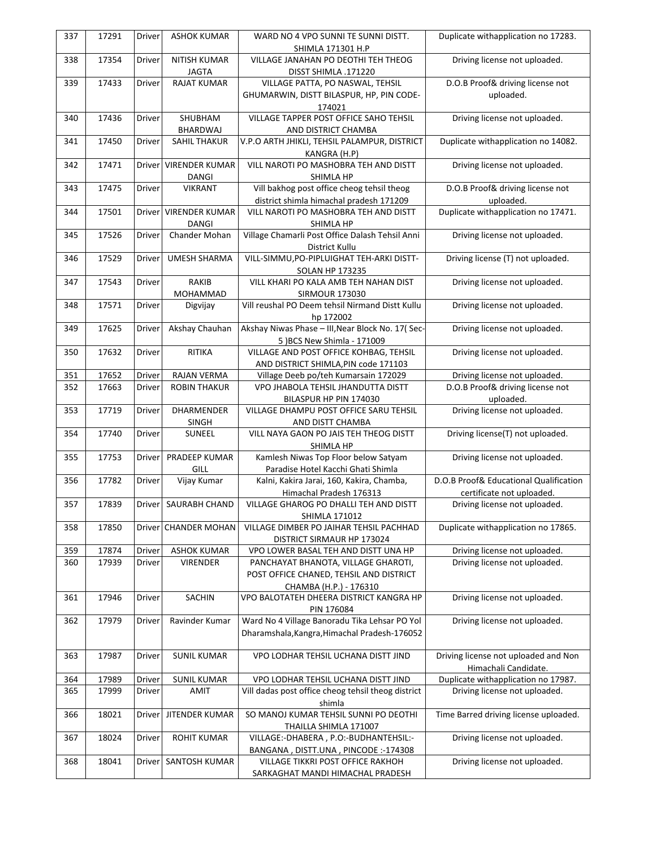| 337        | 17291          | Driver           | <b>ASHOK KUMAR</b>         | WARD NO 4 VPO SUNNI TE SUNNI DISTT.                | Duplicate withapplication no 17283.    |
|------------|----------------|------------------|----------------------------|----------------------------------------------------|----------------------------------------|
|            |                |                  |                            | SHIMLA 171301 H.P                                  |                                        |
| 338        | 17354          | Driver           | NITISH KUMAR               | VILLAGE JANAHAN PO DEOTHI TEH THEOG                | Driving license not uploaded.          |
|            |                |                  | <b>JAGTA</b>               | DISST SHIMLA .171220                               |                                        |
| 339        | 17433          | Driver           | <b>RAJAT KUMAR</b>         | VILLAGE PATTA, PO NASWAL, TEHSIL                   | D.O.B Proof& driving license not       |
|            |                |                  |                            | GHUMARWIN, DISTT BILASPUR, HP, PIN CODE-           | uploaded.                              |
|            |                |                  |                            | 174021                                             |                                        |
| 340        | 17436          | Driver           | SHUBHAM                    | VILLAGE TAPPER POST OFFICE SAHO TEHSIL             | Driving license not uploaded.          |
|            |                |                  | BHARDWAJ                   | AND DISTRICT CHAMBA                                |                                        |
| 341        | 17450          | Driver           | <b>SAHIL THAKUR</b>        | V.P.O ARTH JHIKLI, TEHSIL PALAMPUR, DISTRICT       | Duplicate withapplication no 14082.    |
|            |                |                  |                            | KANGRA (H.P)                                       |                                        |
| 342        | 17471          |                  | Driver VIRENDER KUMAR      | VILL NAROTI PO MASHOBRA TEH AND DISTT              | Driving license not uploaded.          |
|            |                |                  | <b>DANGI</b>               | SHIMLA HP                                          |                                        |
| 343        | 17475          | Driver           | <b>VIKRANT</b>             | Vill bakhog post office cheog tehsil theog         | D.O.B Proof& driving license not       |
|            |                |                  |                            | district shimla himachal pradesh 171209            | uploaded.                              |
| 344        | 17501          |                  | Driver VIRENDER KUMAR      | VILL NAROTI PO MASHOBRA TEH AND DISTT              | Duplicate withapplication no 17471.    |
|            |                |                  | DANGI                      | SHIMLA HP                                          |                                        |
| 345        | 17526          | Driver           | Chander Mohan              | Village Chamarli Post Office Dalash Tehsil Anni    | Driving license not uploaded.          |
|            |                |                  |                            | District Kullu                                     |                                        |
| 346        | 17529          | Driver           | <b>UMESH SHARMA</b>        | VILL-SIMMU, PO-PIPLUIGHAT TEH-ARKI DISTT-          | Driving license (T) not uploaded.      |
|            |                |                  |                            | <b>SOLAN HP 173235</b>                             |                                        |
| 347        | 17543          | Driver           | RAKIB                      | VILL KHARI PO KALA AMB TEH NAHAN DIST              | Driving license not uploaded.          |
|            |                |                  | MOHAMMAD                   | <b>SIRMOUR 173030</b>                              |                                        |
| 348        | 17571          | Driver           | Digvijay                   | Vill reushal PO Deem tehsil Nirmand Distt Kullu    | Driving license not uploaded.          |
|            |                |                  |                            | hp 172002                                          |                                        |
| 349        | 17625          | Driver           | Akshay Chauhan             | Akshay Niwas Phase - III, Near Block No. 17(Sec-   | Driving license not uploaded.          |
|            |                |                  |                            | 5 ) BCS New Shimla - 171009                        |                                        |
| 350        | 17632          | Driver           | RITIKA                     | VILLAGE AND POST OFFICE KOHBAG, TEHSIL             | Driving license not uploaded.          |
|            |                |                  |                            | AND DISTRICT SHIMLA, PIN code 171103               |                                        |
| 351        | 17652          | Driver           | <b>RAJAN VERMA</b>         | Village Deeb po/teh Kumarsain 172029               | Driving license not uploaded.          |
| 352        | 17663          | Driver           | <b>ROBIN THAKUR</b>        | VPO JHABOLA TEHSIL JHANDUTTA DISTT                 | D.O.B Proof& driving license not       |
|            |                |                  |                            | BILASPUR HP PIN 174030                             | uploaded.                              |
| 353        | 17719          | Driver           | DHARMENDER                 | VILLAGE DHAMPU POST OFFICE SARU TEHSIL             | Driving license not uploaded.          |
|            |                |                  | SINGH                      | AND DISTT CHAMBA                                   |                                        |
| 354        | 17740          | Driver           | SUNEEL                     | VILL NAYA GAON PO JAIS TEH THEOG DISTT             | Driving license(T) not uploaded.       |
|            |                |                  |                            | SHIMLA HP                                          |                                        |
| 355        | 17753          | Driver           | PRADEEP KUMAR              | Kamlesh Niwas Top Floor below Satyam               | Driving license not uploaded.          |
|            |                |                  | GILL                       | Paradise Hotel Kacchi Ghati Shimla                 |                                        |
| 356        | 17782          | Driver           | Vijay Kumar                | Kalni, Kakira Jarai, 160, Kakira, Chamba,          | D.O.B Proof& Educational Qualification |
|            |                |                  |                            | Himachal Pradesh 176313                            | certificate not uploaded.              |
| 357        | 17839          |                  | Driver   SAURABH CHAND     | VILLAGE GHAROG PO DHALLI TEH AND DISTT             | Driving license not uploaded.          |
|            |                |                  |                            | SHIMLA 171012                                      |                                        |
| 358        | 17850          |                  | Driver CHANDER MOHAN       | VILLAGE DIMBER PO JAIHAR TEHSIL PACHHAD            | Duplicate withapplication no 17865.    |
|            |                |                  |                            | DISTRICT SIRMAUR HP 173024                         |                                        |
| 359        | 17874          | Driver           | <b>ASHOK KUMAR</b>         | VPO LOWER BASAL TEH AND DISTT UNA HP               | Driving license not uploaded.          |
| 360        | 17939          | Driver           | VIRENDER                   | PANCHAYAT BHANOTA, VILLAGE GHAROTI,                | Driving license not uploaded.          |
|            |                |                  |                            | POST OFFICE CHANED, TEHSIL AND DISTRICT            |                                        |
|            |                |                  |                            | CHAMBA (H.P.) - 176310                             |                                        |
| 361        | 17946          | Driver           | SACHIN                     | VPO BALOTATEH DHEERA DISTRICT KANGRA HP            | Driving license not uploaded.          |
|            |                |                  |                            | PIN 176084                                         |                                        |
| 362        | 17979          | Driver           | Ravinder Kumar             | Ward No 4 Village Banoradu Tika Lehsar PO Yol      | Driving license not uploaded.          |
|            |                |                  |                            | Dharamshala, Kangra, Himachal Pradesh-176052       |                                        |
|            |                |                  |                            |                                                    |                                        |
| 363        | 17987          | Driver           | <b>SUNIL KUMAR</b>         | VPO LODHAR TEHSIL UCHANA DISTT JIND                | Driving license not uploaded and Non   |
|            |                |                  |                            |                                                    | Himachali Candidate.                   |
|            |                |                  |                            | VPO LODHAR TEHSIL UCHANA DISTT JIND                | Duplicate withapplication no 17987.    |
| 364<br>365 | 17989<br>17999 | Driver<br>Driver | <b>SUNIL KUMAR</b><br>AMIT | Vill dadas post office cheog tehsil theog district | Driving license not uploaded.          |
|            |                |                  |                            |                                                    |                                        |
|            | 18021          |                  |                            | shimla<br>SO MANOJ KUMAR TEHSIL SUNNI PO DEOTHI    |                                        |
| 366        |                | Driver           | JITENDER KUMAR             |                                                    | Time Barred driving license uploaded.  |
|            |                |                  |                            | THAILLA SHIMLA 171007                              |                                        |
| 367        | 18024          | Driver           | ROHIT KUMAR                | VILLAGE:-DHABERA, P.O:-BUDHANTEHSIL:-              | Driving license not uploaded.          |
|            |                |                  |                            | BANGANA, DISTT.UNA, PINCODE:-174308                |                                        |
| 368        | 18041          | Driver           | SANTOSH KUMAR              | VILLAGE TIKKRI POST OFFICE RAKHOH                  | Driving license not uploaded.          |
|            |                |                  |                            | SARKAGHAT MANDI HIMACHAL PRADESH                   |                                        |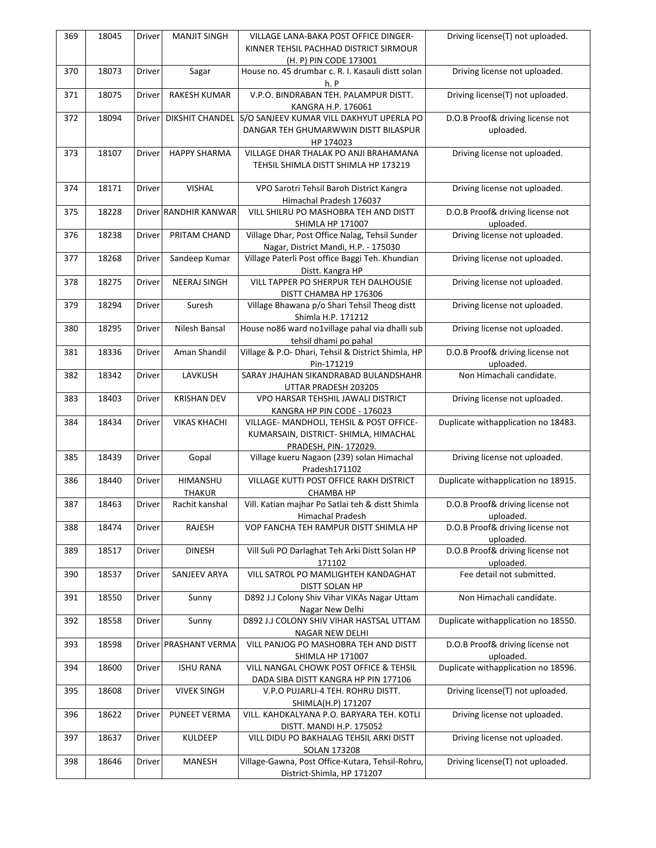| KINNER TEHSIL PACHHAD DISTRICT SIRMOUR<br>(H. P) PIN CODE 173001<br>370<br>18073<br>Sagar<br>House no. 45 drumbar c. R. I. Kasauli distt solan<br>Driving license not uploaded.<br>Driver<br>h. P<br>V.P.O. BINDRABAN TEH. PALAMPUR DISTT.<br>18075<br><b>RAKESH KUMAR</b><br>Driving license(T) not uploaded.<br>371<br>Driver<br>KANGRA H.P. 176061<br>DIKSHIT CHANDEL S/O SANJEEV KUMAR VILL DAKHYUT UPERLA PO<br>D.O.B Proof& driving license not<br>372<br>18094<br><b>Driver</b><br>DANGAR TEH GHUMARWWIN DISTT BILASPUR<br>uploaded.<br>HP 174023<br>VILLAGE DHAR THALAK PO ANJI BRAHAMANA<br>Driving license not uploaded.<br>18107<br><b>HAPPY SHARMA</b><br>373<br>Driver<br>TEHSIL SHIMLA DISTT SHIMLA HP 173219<br><b>VISHAL</b><br>18171<br>Driver<br>VPO Sarotri Tehsil Baroh District Kangra<br>Driving license not uploaded.<br>374<br>Himachal Pradesh 176037<br>D.O.B Proof& driving license not<br>VILL SHILRU PO MASHOBRA TEH AND DISTT<br>18228<br>Driver RANDHIR KANWAR<br>375<br>SHIMLA HP 171007<br>uploaded.<br>Village Dhar, Post Office Nalag, Tehsil Sunder<br>Driving license not uploaded.<br>18238<br>PRITAM CHAND<br>376<br>Driver<br>Nagar, District Mandi, H.P. - 175030<br>Driving license not uploaded.<br>Sandeep Kumar<br>Village Paterli Post office Baggi Teh. Khundian<br>377<br>18268<br>Driver<br>Distt. Kangra HP<br>VILL TAPPER PO SHERPUR TEH DALHOUSIE<br>Driving license not uploaded.<br>18275<br>Driver<br><b>NEERAJ SINGH</b><br>378<br>DISTT CHAMBA HP 176306<br>Village Bhawana p/o Shari Tehsil Theog distt<br>Driving license not uploaded.<br>18294<br>Suresh<br>379<br>Driver<br>Shimla H.P. 171212<br>House no86 ward no1village pahal via dhalli sub<br>380<br>18295<br>Nilesh Bansal<br>Driving license not uploaded.<br>Driver<br>tehsil dhami po pahal<br>Aman Shandil<br>D.O.B Proof& driving license not<br>18336<br>Driver<br>Village & P.O- Dhari, Tehsil & District Shimla, HP<br>381<br>uploaded.<br>Pin-171219<br>LAVKUSH<br>Non Himachali candidate.<br>18342<br>SARAY JHAJHAN SIKANDRABAD BULANDSHAHR<br>382<br>Driver<br>UTTAR PRADESH 203205<br>18403<br>Driver<br><b>KRISHAN DEV</b><br>VPO HARSAR TEHSHIL JAWALI DISTRICT<br>Driving license not uploaded.<br>383<br>KANGRA HP PIN CODE - 176023<br>Duplicate withapplication no 18483.<br>18434<br><b>VIKAS KHACHI</b><br>Driver<br>VILLAGE- MANDHOLI, TEHSIL & POST OFFICE-<br>384<br>KUMARSAIN, DISTRICT- SHIMLA, HIMACHAL<br>PRADESH, PIN-172029.<br>Village kueru Nagaon (239) solan Himachal<br>Gopal<br>Driving license not uploaded.<br>385<br>18439<br>Driver<br>Pradesh171102<br>Duplicate withapplication no 18915.<br>HIMANSHU<br>VILLAGE KUTTI POST OFFICE RAKH DISTRICT<br>386<br>18440<br>Driver<br>THAKUR<br>CHAMBA HP<br>D.O.B Proof& driving license not<br>Vill. Katian majhar Po Satlai teh & distt Shimla<br>387<br>18463<br>Rachit kanshal<br>Driver<br>Himachal Pradesh<br>uploaded.<br>D.O.B Proof& driving license not<br>RAJESH<br>VOP FANCHA TEH RAMPUR DISTT SHIMLA HP<br>388<br>18474<br><b>Driver</b><br>uploaded.<br><b>DINESH</b><br>Vill Suli PO Darlaghat Teh Arki Distt Solan HP<br>D.O.B Proof& driving license not<br>18517<br>Driver<br>389<br>uploaded.<br>171102<br>18537<br>SANJEEV ARYA<br>VILL SATROL PO MAMLIGHTEH KANDAGHAT<br>Fee detail not submitted.<br>390<br>Driver<br>DISTT SOLAN HP<br>18550<br>D892 J.J Colony Shiv Vihar VIKAs Nagar Uttam<br>Non Himachali candidate.<br>391<br>Driver<br>Sunny<br>Nagar New Delhi<br>D892 J.J COLONY SHIV VIHAR HASTSAL UTTAM<br>Duplicate withapplication no 18550.<br>392<br>18558<br><b>Driver</b><br>Sunny<br>NAGAR NEW DELHI<br>Driver PRASHANT VERMA<br>VILL PANJOG PO MASHOBRA TEH AND DISTT<br>D.O.B Proof& driving license not<br>393<br>18598<br>SHIMLA HP 171007<br>uploaded.<br><b>ISHU RANA</b><br>VILL NANGAL CHOWK POST OFFICE & TEHSIL<br>Duplicate withapplication no 18596.<br>18600<br>Driver<br>394<br>DADA SIBA DISTT KANGRA HP PIN 177106<br><b>VIVEK SINGH</b><br>Driving license(T) not uploaded.<br>395<br>18608<br>Driver<br>V.P.O PUJARLI-4 TEH. ROHRU DISTT.<br>SHIMLA(H.P) 171207<br>PUNEET VERMA<br>VILL. KAHDKALYANA P.O. BARYARA TEH. KOTLI<br>Driving license not uploaded.<br>18622<br>396<br>Driver<br>DISTT. MANDI H.P. 175052<br>Driving license not uploaded.<br>18637<br>Driver<br>KULDEEP<br>VILL DIDU PO BAKHALAG TEHSIL ARKI DISTT<br>397<br>SOLAN 173208<br>Village-Gawna, Post Office-Kutara, Tehsil-Rohru,<br>Driving license(T) not uploaded.<br>18646<br>MANESH<br>398<br>Driver<br>District-Shimla, HP 171207 | 369 | 18045 | Driver | <b>MANJIT SINGH</b> | <b>VILLAGE LANA-BAKA POST OFFICE DINGER-</b> | Driving license(T) not uploaded. |
|-----------------------------------------------------------------------------------------------------------------------------------------------------------------------------------------------------------------------------------------------------------------------------------------------------------------------------------------------------------------------------------------------------------------------------------------------------------------------------------------------------------------------------------------------------------------------------------------------------------------------------------------------------------------------------------------------------------------------------------------------------------------------------------------------------------------------------------------------------------------------------------------------------------------------------------------------------------------------------------------------------------------------------------------------------------------------------------------------------------------------------------------------------------------------------------------------------------------------------------------------------------------------------------------------------------------------------------------------------------------------------------------------------------------------------------------------------------------------------------------------------------------------------------------------------------------------------------------------------------------------------------------------------------------------------------------------------------------------------------------------------------------------------------------------------------------------------------------------------------------------------------------------------------------------------------------------------------------------------------------------------------------------------------------------------------------------------------------------------------------------------------------------------------------------------------------------------------------------------------------------------------------------------------------------------------------------------------------------------------------------------------------------------------------------------------------------------------------------------------------------------------------------------------------------------------------------------------------------------------------------------------------------------------------------------------------------------------------------------------------------------------------------------------------------------------------------------------------------------------------------------------------------------------------------------------------------------------------------------------------------------------------------------------------------------------------------------------------------------------------------------------------------------------------------------------------------------------------------------------------------------------------------------------------------------------------------------------------------------------------------------------------------------------------------------------------------------------------------------------------------------------------------------------------------------------------------------------------------------------------------------------------------------------------------------------------------------------------------------------------------------------------------------------------------------------------------------------------------------------------------------------------------------------------------------------------------------------------------------------------------------------------------------------------------------------------------------------------------------------------------------------------------------------------------------------------------------------------------------------------------------------------------------------------------------------------------------------------------------------------------------------------------------------------------------------------------------------------------------------------------------------------------------------------------------------------------------------|-----|-------|--------|---------------------|----------------------------------------------|----------------------------------|
|                                                                                                                                                                                                                                                                                                                                                                                                                                                                                                                                                                                                                                                                                                                                                                                                                                                                                                                                                                                                                                                                                                                                                                                                                                                                                                                                                                                                                                                                                                                                                                                                                                                                                                                                                                                                                                                                                                                                                                                                                                                                                                                                                                                                                                                                                                                                                                                                                                                                                                                                                                                                                                                                                                                                                                                                                                                                                                                                                                                                                                                                                                                                                                                                                                                                                                                                                                                                                                                                                                                                                                                                                                                                                                                                                                                                                                                                                                                                                                                                                                                                                                                                                                                                                                                                                                                                                                                                                                                                                                                                                                                   |     |       |        |                     |                                              |                                  |
|                                                                                                                                                                                                                                                                                                                                                                                                                                                                                                                                                                                                                                                                                                                                                                                                                                                                                                                                                                                                                                                                                                                                                                                                                                                                                                                                                                                                                                                                                                                                                                                                                                                                                                                                                                                                                                                                                                                                                                                                                                                                                                                                                                                                                                                                                                                                                                                                                                                                                                                                                                                                                                                                                                                                                                                                                                                                                                                                                                                                                                                                                                                                                                                                                                                                                                                                                                                                                                                                                                                                                                                                                                                                                                                                                                                                                                                                                                                                                                                                                                                                                                                                                                                                                                                                                                                                                                                                                                                                                                                                                                                   |     |       |        |                     |                                              |                                  |
|                                                                                                                                                                                                                                                                                                                                                                                                                                                                                                                                                                                                                                                                                                                                                                                                                                                                                                                                                                                                                                                                                                                                                                                                                                                                                                                                                                                                                                                                                                                                                                                                                                                                                                                                                                                                                                                                                                                                                                                                                                                                                                                                                                                                                                                                                                                                                                                                                                                                                                                                                                                                                                                                                                                                                                                                                                                                                                                                                                                                                                                                                                                                                                                                                                                                                                                                                                                                                                                                                                                                                                                                                                                                                                                                                                                                                                                                                                                                                                                                                                                                                                                                                                                                                                                                                                                                                                                                                                                                                                                                                                                   |     |       |        |                     |                                              |                                  |
|                                                                                                                                                                                                                                                                                                                                                                                                                                                                                                                                                                                                                                                                                                                                                                                                                                                                                                                                                                                                                                                                                                                                                                                                                                                                                                                                                                                                                                                                                                                                                                                                                                                                                                                                                                                                                                                                                                                                                                                                                                                                                                                                                                                                                                                                                                                                                                                                                                                                                                                                                                                                                                                                                                                                                                                                                                                                                                                                                                                                                                                                                                                                                                                                                                                                                                                                                                                                                                                                                                                                                                                                                                                                                                                                                                                                                                                                                                                                                                                                                                                                                                                                                                                                                                                                                                                                                                                                                                                                                                                                                                                   |     |       |        |                     |                                              |                                  |
|                                                                                                                                                                                                                                                                                                                                                                                                                                                                                                                                                                                                                                                                                                                                                                                                                                                                                                                                                                                                                                                                                                                                                                                                                                                                                                                                                                                                                                                                                                                                                                                                                                                                                                                                                                                                                                                                                                                                                                                                                                                                                                                                                                                                                                                                                                                                                                                                                                                                                                                                                                                                                                                                                                                                                                                                                                                                                                                                                                                                                                                                                                                                                                                                                                                                                                                                                                                                                                                                                                                                                                                                                                                                                                                                                                                                                                                                                                                                                                                                                                                                                                                                                                                                                                                                                                                                                                                                                                                                                                                                                                                   |     |       |        |                     |                                              |                                  |
|                                                                                                                                                                                                                                                                                                                                                                                                                                                                                                                                                                                                                                                                                                                                                                                                                                                                                                                                                                                                                                                                                                                                                                                                                                                                                                                                                                                                                                                                                                                                                                                                                                                                                                                                                                                                                                                                                                                                                                                                                                                                                                                                                                                                                                                                                                                                                                                                                                                                                                                                                                                                                                                                                                                                                                                                                                                                                                                                                                                                                                                                                                                                                                                                                                                                                                                                                                                                                                                                                                                                                                                                                                                                                                                                                                                                                                                                                                                                                                                                                                                                                                                                                                                                                                                                                                                                                                                                                                                                                                                                                                                   |     |       |        |                     |                                              |                                  |
|                                                                                                                                                                                                                                                                                                                                                                                                                                                                                                                                                                                                                                                                                                                                                                                                                                                                                                                                                                                                                                                                                                                                                                                                                                                                                                                                                                                                                                                                                                                                                                                                                                                                                                                                                                                                                                                                                                                                                                                                                                                                                                                                                                                                                                                                                                                                                                                                                                                                                                                                                                                                                                                                                                                                                                                                                                                                                                                                                                                                                                                                                                                                                                                                                                                                                                                                                                                                                                                                                                                                                                                                                                                                                                                                                                                                                                                                                                                                                                                                                                                                                                                                                                                                                                                                                                                                                                                                                                                                                                                                                                                   |     |       |        |                     |                                              |                                  |
|                                                                                                                                                                                                                                                                                                                                                                                                                                                                                                                                                                                                                                                                                                                                                                                                                                                                                                                                                                                                                                                                                                                                                                                                                                                                                                                                                                                                                                                                                                                                                                                                                                                                                                                                                                                                                                                                                                                                                                                                                                                                                                                                                                                                                                                                                                                                                                                                                                                                                                                                                                                                                                                                                                                                                                                                                                                                                                                                                                                                                                                                                                                                                                                                                                                                                                                                                                                                                                                                                                                                                                                                                                                                                                                                                                                                                                                                                                                                                                                                                                                                                                                                                                                                                                                                                                                                                                                                                                                                                                                                                                                   |     |       |        |                     |                                              |                                  |
|                                                                                                                                                                                                                                                                                                                                                                                                                                                                                                                                                                                                                                                                                                                                                                                                                                                                                                                                                                                                                                                                                                                                                                                                                                                                                                                                                                                                                                                                                                                                                                                                                                                                                                                                                                                                                                                                                                                                                                                                                                                                                                                                                                                                                                                                                                                                                                                                                                                                                                                                                                                                                                                                                                                                                                                                                                                                                                                                                                                                                                                                                                                                                                                                                                                                                                                                                                                                                                                                                                                                                                                                                                                                                                                                                                                                                                                                                                                                                                                                                                                                                                                                                                                                                                                                                                                                                                                                                                                                                                                                                                                   |     |       |        |                     |                                              |                                  |
|                                                                                                                                                                                                                                                                                                                                                                                                                                                                                                                                                                                                                                                                                                                                                                                                                                                                                                                                                                                                                                                                                                                                                                                                                                                                                                                                                                                                                                                                                                                                                                                                                                                                                                                                                                                                                                                                                                                                                                                                                                                                                                                                                                                                                                                                                                                                                                                                                                                                                                                                                                                                                                                                                                                                                                                                                                                                                                                                                                                                                                                                                                                                                                                                                                                                                                                                                                                                                                                                                                                                                                                                                                                                                                                                                                                                                                                                                                                                                                                                                                                                                                                                                                                                                                                                                                                                                                                                                                                                                                                                                                                   |     |       |        |                     |                                              |                                  |
|                                                                                                                                                                                                                                                                                                                                                                                                                                                                                                                                                                                                                                                                                                                                                                                                                                                                                                                                                                                                                                                                                                                                                                                                                                                                                                                                                                                                                                                                                                                                                                                                                                                                                                                                                                                                                                                                                                                                                                                                                                                                                                                                                                                                                                                                                                                                                                                                                                                                                                                                                                                                                                                                                                                                                                                                                                                                                                                                                                                                                                                                                                                                                                                                                                                                                                                                                                                                                                                                                                                                                                                                                                                                                                                                                                                                                                                                                                                                                                                                                                                                                                                                                                                                                                                                                                                                                                                                                                                                                                                                                                                   |     |       |        |                     |                                              |                                  |
|                                                                                                                                                                                                                                                                                                                                                                                                                                                                                                                                                                                                                                                                                                                                                                                                                                                                                                                                                                                                                                                                                                                                                                                                                                                                                                                                                                                                                                                                                                                                                                                                                                                                                                                                                                                                                                                                                                                                                                                                                                                                                                                                                                                                                                                                                                                                                                                                                                                                                                                                                                                                                                                                                                                                                                                                                                                                                                                                                                                                                                                                                                                                                                                                                                                                                                                                                                                                                                                                                                                                                                                                                                                                                                                                                                                                                                                                                                                                                                                                                                                                                                                                                                                                                                                                                                                                                                                                                                                                                                                                                                                   |     |       |        |                     |                                              |                                  |
|                                                                                                                                                                                                                                                                                                                                                                                                                                                                                                                                                                                                                                                                                                                                                                                                                                                                                                                                                                                                                                                                                                                                                                                                                                                                                                                                                                                                                                                                                                                                                                                                                                                                                                                                                                                                                                                                                                                                                                                                                                                                                                                                                                                                                                                                                                                                                                                                                                                                                                                                                                                                                                                                                                                                                                                                                                                                                                                                                                                                                                                                                                                                                                                                                                                                                                                                                                                                                                                                                                                                                                                                                                                                                                                                                                                                                                                                                                                                                                                                                                                                                                                                                                                                                                                                                                                                                                                                                                                                                                                                                                                   |     |       |        |                     |                                              |                                  |
|                                                                                                                                                                                                                                                                                                                                                                                                                                                                                                                                                                                                                                                                                                                                                                                                                                                                                                                                                                                                                                                                                                                                                                                                                                                                                                                                                                                                                                                                                                                                                                                                                                                                                                                                                                                                                                                                                                                                                                                                                                                                                                                                                                                                                                                                                                                                                                                                                                                                                                                                                                                                                                                                                                                                                                                                                                                                                                                                                                                                                                                                                                                                                                                                                                                                                                                                                                                                                                                                                                                                                                                                                                                                                                                                                                                                                                                                                                                                                                                                                                                                                                                                                                                                                                                                                                                                                                                                                                                                                                                                                                                   |     |       |        |                     |                                              |                                  |
|                                                                                                                                                                                                                                                                                                                                                                                                                                                                                                                                                                                                                                                                                                                                                                                                                                                                                                                                                                                                                                                                                                                                                                                                                                                                                                                                                                                                                                                                                                                                                                                                                                                                                                                                                                                                                                                                                                                                                                                                                                                                                                                                                                                                                                                                                                                                                                                                                                                                                                                                                                                                                                                                                                                                                                                                                                                                                                                                                                                                                                                                                                                                                                                                                                                                                                                                                                                                                                                                                                                                                                                                                                                                                                                                                                                                                                                                                                                                                                                                                                                                                                                                                                                                                                                                                                                                                                                                                                                                                                                                                                                   |     |       |        |                     |                                              |                                  |
|                                                                                                                                                                                                                                                                                                                                                                                                                                                                                                                                                                                                                                                                                                                                                                                                                                                                                                                                                                                                                                                                                                                                                                                                                                                                                                                                                                                                                                                                                                                                                                                                                                                                                                                                                                                                                                                                                                                                                                                                                                                                                                                                                                                                                                                                                                                                                                                                                                                                                                                                                                                                                                                                                                                                                                                                                                                                                                                                                                                                                                                                                                                                                                                                                                                                                                                                                                                                                                                                                                                                                                                                                                                                                                                                                                                                                                                                                                                                                                                                                                                                                                                                                                                                                                                                                                                                                                                                                                                                                                                                                                                   |     |       |        |                     |                                              |                                  |
|                                                                                                                                                                                                                                                                                                                                                                                                                                                                                                                                                                                                                                                                                                                                                                                                                                                                                                                                                                                                                                                                                                                                                                                                                                                                                                                                                                                                                                                                                                                                                                                                                                                                                                                                                                                                                                                                                                                                                                                                                                                                                                                                                                                                                                                                                                                                                                                                                                                                                                                                                                                                                                                                                                                                                                                                                                                                                                                                                                                                                                                                                                                                                                                                                                                                                                                                                                                                                                                                                                                                                                                                                                                                                                                                                                                                                                                                                                                                                                                                                                                                                                                                                                                                                                                                                                                                                                                                                                                                                                                                                                                   |     |       |        |                     |                                              |                                  |
|                                                                                                                                                                                                                                                                                                                                                                                                                                                                                                                                                                                                                                                                                                                                                                                                                                                                                                                                                                                                                                                                                                                                                                                                                                                                                                                                                                                                                                                                                                                                                                                                                                                                                                                                                                                                                                                                                                                                                                                                                                                                                                                                                                                                                                                                                                                                                                                                                                                                                                                                                                                                                                                                                                                                                                                                                                                                                                                                                                                                                                                                                                                                                                                                                                                                                                                                                                                                                                                                                                                                                                                                                                                                                                                                                                                                                                                                                                                                                                                                                                                                                                                                                                                                                                                                                                                                                                                                                                                                                                                                                                                   |     |       |        |                     |                                              |                                  |
|                                                                                                                                                                                                                                                                                                                                                                                                                                                                                                                                                                                                                                                                                                                                                                                                                                                                                                                                                                                                                                                                                                                                                                                                                                                                                                                                                                                                                                                                                                                                                                                                                                                                                                                                                                                                                                                                                                                                                                                                                                                                                                                                                                                                                                                                                                                                                                                                                                                                                                                                                                                                                                                                                                                                                                                                                                                                                                                                                                                                                                                                                                                                                                                                                                                                                                                                                                                                                                                                                                                                                                                                                                                                                                                                                                                                                                                                                                                                                                                                                                                                                                                                                                                                                                                                                                                                                                                                                                                                                                                                                                                   |     |       |        |                     |                                              |                                  |
|                                                                                                                                                                                                                                                                                                                                                                                                                                                                                                                                                                                                                                                                                                                                                                                                                                                                                                                                                                                                                                                                                                                                                                                                                                                                                                                                                                                                                                                                                                                                                                                                                                                                                                                                                                                                                                                                                                                                                                                                                                                                                                                                                                                                                                                                                                                                                                                                                                                                                                                                                                                                                                                                                                                                                                                                                                                                                                                                                                                                                                                                                                                                                                                                                                                                                                                                                                                                                                                                                                                                                                                                                                                                                                                                                                                                                                                                                                                                                                                                                                                                                                                                                                                                                                                                                                                                                                                                                                                                                                                                                                                   |     |       |        |                     |                                              |                                  |
|                                                                                                                                                                                                                                                                                                                                                                                                                                                                                                                                                                                                                                                                                                                                                                                                                                                                                                                                                                                                                                                                                                                                                                                                                                                                                                                                                                                                                                                                                                                                                                                                                                                                                                                                                                                                                                                                                                                                                                                                                                                                                                                                                                                                                                                                                                                                                                                                                                                                                                                                                                                                                                                                                                                                                                                                                                                                                                                                                                                                                                                                                                                                                                                                                                                                                                                                                                                                                                                                                                                                                                                                                                                                                                                                                                                                                                                                                                                                                                                                                                                                                                                                                                                                                                                                                                                                                                                                                                                                                                                                                                                   |     |       |        |                     |                                              |                                  |
|                                                                                                                                                                                                                                                                                                                                                                                                                                                                                                                                                                                                                                                                                                                                                                                                                                                                                                                                                                                                                                                                                                                                                                                                                                                                                                                                                                                                                                                                                                                                                                                                                                                                                                                                                                                                                                                                                                                                                                                                                                                                                                                                                                                                                                                                                                                                                                                                                                                                                                                                                                                                                                                                                                                                                                                                                                                                                                                                                                                                                                                                                                                                                                                                                                                                                                                                                                                                                                                                                                                                                                                                                                                                                                                                                                                                                                                                                                                                                                                                                                                                                                                                                                                                                                                                                                                                                                                                                                                                                                                                                                                   |     |       |        |                     |                                              |                                  |
|                                                                                                                                                                                                                                                                                                                                                                                                                                                                                                                                                                                                                                                                                                                                                                                                                                                                                                                                                                                                                                                                                                                                                                                                                                                                                                                                                                                                                                                                                                                                                                                                                                                                                                                                                                                                                                                                                                                                                                                                                                                                                                                                                                                                                                                                                                                                                                                                                                                                                                                                                                                                                                                                                                                                                                                                                                                                                                                                                                                                                                                                                                                                                                                                                                                                                                                                                                                                                                                                                                                                                                                                                                                                                                                                                                                                                                                                                                                                                                                                                                                                                                                                                                                                                                                                                                                                                                                                                                                                                                                                                                                   |     |       |        |                     |                                              |                                  |
|                                                                                                                                                                                                                                                                                                                                                                                                                                                                                                                                                                                                                                                                                                                                                                                                                                                                                                                                                                                                                                                                                                                                                                                                                                                                                                                                                                                                                                                                                                                                                                                                                                                                                                                                                                                                                                                                                                                                                                                                                                                                                                                                                                                                                                                                                                                                                                                                                                                                                                                                                                                                                                                                                                                                                                                                                                                                                                                                                                                                                                                                                                                                                                                                                                                                                                                                                                                                                                                                                                                                                                                                                                                                                                                                                                                                                                                                                                                                                                                                                                                                                                                                                                                                                                                                                                                                                                                                                                                                                                                                                                                   |     |       |        |                     |                                              |                                  |
|                                                                                                                                                                                                                                                                                                                                                                                                                                                                                                                                                                                                                                                                                                                                                                                                                                                                                                                                                                                                                                                                                                                                                                                                                                                                                                                                                                                                                                                                                                                                                                                                                                                                                                                                                                                                                                                                                                                                                                                                                                                                                                                                                                                                                                                                                                                                                                                                                                                                                                                                                                                                                                                                                                                                                                                                                                                                                                                                                                                                                                                                                                                                                                                                                                                                                                                                                                                                                                                                                                                                                                                                                                                                                                                                                                                                                                                                                                                                                                                                                                                                                                                                                                                                                                                                                                                                                                                                                                                                                                                                                                                   |     |       |        |                     |                                              |                                  |
|                                                                                                                                                                                                                                                                                                                                                                                                                                                                                                                                                                                                                                                                                                                                                                                                                                                                                                                                                                                                                                                                                                                                                                                                                                                                                                                                                                                                                                                                                                                                                                                                                                                                                                                                                                                                                                                                                                                                                                                                                                                                                                                                                                                                                                                                                                                                                                                                                                                                                                                                                                                                                                                                                                                                                                                                                                                                                                                                                                                                                                                                                                                                                                                                                                                                                                                                                                                                                                                                                                                                                                                                                                                                                                                                                                                                                                                                                                                                                                                                                                                                                                                                                                                                                                                                                                                                                                                                                                                                                                                                                                                   |     |       |        |                     |                                              |                                  |
|                                                                                                                                                                                                                                                                                                                                                                                                                                                                                                                                                                                                                                                                                                                                                                                                                                                                                                                                                                                                                                                                                                                                                                                                                                                                                                                                                                                                                                                                                                                                                                                                                                                                                                                                                                                                                                                                                                                                                                                                                                                                                                                                                                                                                                                                                                                                                                                                                                                                                                                                                                                                                                                                                                                                                                                                                                                                                                                                                                                                                                                                                                                                                                                                                                                                                                                                                                                                                                                                                                                                                                                                                                                                                                                                                                                                                                                                                                                                                                                                                                                                                                                                                                                                                                                                                                                                                                                                                                                                                                                                                                                   |     |       |        |                     |                                              |                                  |
|                                                                                                                                                                                                                                                                                                                                                                                                                                                                                                                                                                                                                                                                                                                                                                                                                                                                                                                                                                                                                                                                                                                                                                                                                                                                                                                                                                                                                                                                                                                                                                                                                                                                                                                                                                                                                                                                                                                                                                                                                                                                                                                                                                                                                                                                                                                                                                                                                                                                                                                                                                                                                                                                                                                                                                                                                                                                                                                                                                                                                                                                                                                                                                                                                                                                                                                                                                                                                                                                                                                                                                                                                                                                                                                                                                                                                                                                                                                                                                                                                                                                                                                                                                                                                                                                                                                                                                                                                                                                                                                                                                                   |     |       |        |                     |                                              |                                  |
|                                                                                                                                                                                                                                                                                                                                                                                                                                                                                                                                                                                                                                                                                                                                                                                                                                                                                                                                                                                                                                                                                                                                                                                                                                                                                                                                                                                                                                                                                                                                                                                                                                                                                                                                                                                                                                                                                                                                                                                                                                                                                                                                                                                                                                                                                                                                                                                                                                                                                                                                                                                                                                                                                                                                                                                                                                                                                                                                                                                                                                                                                                                                                                                                                                                                                                                                                                                                                                                                                                                                                                                                                                                                                                                                                                                                                                                                                                                                                                                                                                                                                                                                                                                                                                                                                                                                                                                                                                                                                                                                                                                   |     |       |        |                     |                                              |                                  |
|                                                                                                                                                                                                                                                                                                                                                                                                                                                                                                                                                                                                                                                                                                                                                                                                                                                                                                                                                                                                                                                                                                                                                                                                                                                                                                                                                                                                                                                                                                                                                                                                                                                                                                                                                                                                                                                                                                                                                                                                                                                                                                                                                                                                                                                                                                                                                                                                                                                                                                                                                                                                                                                                                                                                                                                                                                                                                                                                                                                                                                                                                                                                                                                                                                                                                                                                                                                                                                                                                                                                                                                                                                                                                                                                                                                                                                                                                                                                                                                                                                                                                                                                                                                                                                                                                                                                                                                                                                                                                                                                                                                   |     |       |        |                     |                                              |                                  |
|                                                                                                                                                                                                                                                                                                                                                                                                                                                                                                                                                                                                                                                                                                                                                                                                                                                                                                                                                                                                                                                                                                                                                                                                                                                                                                                                                                                                                                                                                                                                                                                                                                                                                                                                                                                                                                                                                                                                                                                                                                                                                                                                                                                                                                                                                                                                                                                                                                                                                                                                                                                                                                                                                                                                                                                                                                                                                                                                                                                                                                                                                                                                                                                                                                                                                                                                                                                                                                                                                                                                                                                                                                                                                                                                                                                                                                                                                                                                                                                                                                                                                                                                                                                                                                                                                                                                                                                                                                                                                                                                                                                   |     |       |        |                     |                                              |                                  |
|                                                                                                                                                                                                                                                                                                                                                                                                                                                                                                                                                                                                                                                                                                                                                                                                                                                                                                                                                                                                                                                                                                                                                                                                                                                                                                                                                                                                                                                                                                                                                                                                                                                                                                                                                                                                                                                                                                                                                                                                                                                                                                                                                                                                                                                                                                                                                                                                                                                                                                                                                                                                                                                                                                                                                                                                                                                                                                                                                                                                                                                                                                                                                                                                                                                                                                                                                                                                                                                                                                                                                                                                                                                                                                                                                                                                                                                                                                                                                                                                                                                                                                                                                                                                                                                                                                                                                                                                                                                                                                                                                                                   |     |       |        |                     |                                              |                                  |
|                                                                                                                                                                                                                                                                                                                                                                                                                                                                                                                                                                                                                                                                                                                                                                                                                                                                                                                                                                                                                                                                                                                                                                                                                                                                                                                                                                                                                                                                                                                                                                                                                                                                                                                                                                                                                                                                                                                                                                                                                                                                                                                                                                                                                                                                                                                                                                                                                                                                                                                                                                                                                                                                                                                                                                                                                                                                                                                                                                                                                                                                                                                                                                                                                                                                                                                                                                                                                                                                                                                                                                                                                                                                                                                                                                                                                                                                                                                                                                                                                                                                                                                                                                                                                                                                                                                                                                                                                                                                                                                                                                                   |     |       |        |                     |                                              |                                  |
|                                                                                                                                                                                                                                                                                                                                                                                                                                                                                                                                                                                                                                                                                                                                                                                                                                                                                                                                                                                                                                                                                                                                                                                                                                                                                                                                                                                                                                                                                                                                                                                                                                                                                                                                                                                                                                                                                                                                                                                                                                                                                                                                                                                                                                                                                                                                                                                                                                                                                                                                                                                                                                                                                                                                                                                                                                                                                                                                                                                                                                                                                                                                                                                                                                                                                                                                                                                                                                                                                                                                                                                                                                                                                                                                                                                                                                                                                                                                                                                                                                                                                                                                                                                                                                                                                                                                                                                                                                                                                                                                                                                   |     |       |        |                     |                                              |                                  |
|                                                                                                                                                                                                                                                                                                                                                                                                                                                                                                                                                                                                                                                                                                                                                                                                                                                                                                                                                                                                                                                                                                                                                                                                                                                                                                                                                                                                                                                                                                                                                                                                                                                                                                                                                                                                                                                                                                                                                                                                                                                                                                                                                                                                                                                                                                                                                                                                                                                                                                                                                                                                                                                                                                                                                                                                                                                                                                                                                                                                                                                                                                                                                                                                                                                                                                                                                                                                                                                                                                                                                                                                                                                                                                                                                                                                                                                                                                                                                                                                                                                                                                                                                                                                                                                                                                                                                                                                                                                                                                                                                                                   |     |       |        |                     |                                              |                                  |
|                                                                                                                                                                                                                                                                                                                                                                                                                                                                                                                                                                                                                                                                                                                                                                                                                                                                                                                                                                                                                                                                                                                                                                                                                                                                                                                                                                                                                                                                                                                                                                                                                                                                                                                                                                                                                                                                                                                                                                                                                                                                                                                                                                                                                                                                                                                                                                                                                                                                                                                                                                                                                                                                                                                                                                                                                                                                                                                                                                                                                                                                                                                                                                                                                                                                                                                                                                                                                                                                                                                                                                                                                                                                                                                                                                                                                                                                                                                                                                                                                                                                                                                                                                                                                                                                                                                                                                                                                                                                                                                                                                                   |     |       |        |                     |                                              |                                  |
|                                                                                                                                                                                                                                                                                                                                                                                                                                                                                                                                                                                                                                                                                                                                                                                                                                                                                                                                                                                                                                                                                                                                                                                                                                                                                                                                                                                                                                                                                                                                                                                                                                                                                                                                                                                                                                                                                                                                                                                                                                                                                                                                                                                                                                                                                                                                                                                                                                                                                                                                                                                                                                                                                                                                                                                                                                                                                                                                                                                                                                                                                                                                                                                                                                                                                                                                                                                                                                                                                                                                                                                                                                                                                                                                                                                                                                                                                                                                                                                                                                                                                                                                                                                                                                                                                                                                                                                                                                                                                                                                                                                   |     |       |        |                     |                                              |                                  |
|                                                                                                                                                                                                                                                                                                                                                                                                                                                                                                                                                                                                                                                                                                                                                                                                                                                                                                                                                                                                                                                                                                                                                                                                                                                                                                                                                                                                                                                                                                                                                                                                                                                                                                                                                                                                                                                                                                                                                                                                                                                                                                                                                                                                                                                                                                                                                                                                                                                                                                                                                                                                                                                                                                                                                                                                                                                                                                                                                                                                                                                                                                                                                                                                                                                                                                                                                                                                                                                                                                                                                                                                                                                                                                                                                                                                                                                                                                                                                                                                                                                                                                                                                                                                                                                                                                                                                                                                                                                                                                                                                                                   |     |       |        |                     |                                              |                                  |
|                                                                                                                                                                                                                                                                                                                                                                                                                                                                                                                                                                                                                                                                                                                                                                                                                                                                                                                                                                                                                                                                                                                                                                                                                                                                                                                                                                                                                                                                                                                                                                                                                                                                                                                                                                                                                                                                                                                                                                                                                                                                                                                                                                                                                                                                                                                                                                                                                                                                                                                                                                                                                                                                                                                                                                                                                                                                                                                                                                                                                                                                                                                                                                                                                                                                                                                                                                                                                                                                                                                                                                                                                                                                                                                                                                                                                                                                                                                                                                                                                                                                                                                                                                                                                                                                                                                                                                                                                                                                                                                                                                                   |     |       |        |                     |                                              |                                  |
|                                                                                                                                                                                                                                                                                                                                                                                                                                                                                                                                                                                                                                                                                                                                                                                                                                                                                                                                                                                                                                                                                                                                                                                                                                                                                                                                                                                                                                                                                                                                                                                                                                                                                                                                                                                                                                                                                                                                                                                                                                                                                                                                                                                                                                                                                                                                                                                                                                                                                                                                                                                                                                                                                                                                                                                                                                                                                                                                                                                                                                                                                                                                                                                                                                                                                                                                                                                                                                                                                                                                                                                                                                                                                                                                                                                                                                                                                                                                                                                                                                                                                                                                                                                                                                                                                                                                                                                                                                                                                                                                                                                   |     |       |        |                     |                                              |                                  |
|                                                                                                                                                                                                                                                                                                                                                                                                                                                                                                                                                                                                                                                                                                                                                                                                                                                                                                                                                                                                                                                                                                                                                                                                                                                                                                                                                                                                                                                                                                                                                                                                                                                                                                                                                                                                                                                                                                                                                                                                                                                                                                                                                                                                                                                                                                                                                                                                                                                                                                                                                                                                                                                                                                                                                                                                                                                                                                                                                                                                                                                                                                                                                                                                                                                                                                                                                                                                                                                                                                                                                                                                                                                                                                                                                                                                                                                                                                                                                                                                                                                                                                                                                                                                                                                                                                                                                                                                                                                                                                                                                                                   |     |       |        |                     |                                              |                                  |
|                                                                                                                                                                                                                                                                                                                                                                                                                                                                                                                                                                                                                                                                                                                                                                                                                                                                                                                                                                                                                                                                                                                                                                                                                                                                                                                                                                                                                                                                                                                                                                                                                                                                                                                                                                                                                                                                                                                                                                                                                                                                                                                                                                                                                                                                                                                                                                                                                                                                                                                                                                                                                                                                                                                                                                                                                                                                                                                                                                                                                                                                                                                                                                                                                                                                                                                                                                                                                                                                                                                                                                                                                                                                                                                                                                                                                                                                                                                                                                                                                                                                                                                                                                                                                                                                                                                                                                                                                                                                                                                                                                                   |     |       |        |                     |                                              |                                  |
|                                                                                                                                                                                                                                                                                                                                                                                                                                                                                                                                                                                                                                                                                                                                                                                                                                                                                                                                                                                                                                                                                                                                                                                                                                                                                                                                                                                                                                                                                                                                                                                                                                                                                                                                                                                                                                                                                                                                                                                                                                                                                                                                                                                                                                                                                                                                                                                                                                                                                                                                                                                                                                                                                                                                                                                                                                                                                                                                                                                                                                                                                                                                                                                                                                                                                                                                                                                                                                                                                                                                                                                                                                                                                                                                                                                                                                                                                                                                                                                                                                                                                                                                                                                                                                                                                                                                                                                                                                                                                                                                                                                   |     |       |        |                     |                                              |                                  |
|                                                                                                                                                                                                                                                                                                                                                                                                                                                                                                                                                                                                                                                                                                                                                                                                                                                                                                                                                                                                                                                                                                                                                                                                                                                                                                                                                                                                                                                                                                                                                                                                                                                                                                                                                                                                                                                                                                                                                                                                                                                                                                                                                                                                                                                                                                                                                                                                                                                                                                                                                                                                                                                                                                                                                                                                                                                                                                                                                                                                                                                                                                                                                                                                                                                                                                                                                                                                                                                                                                                                                                                                                                                                                                                                                                                                                                                                                                                                                                                                                                                                                                                                                                                                                                                                                                                                                                                                                                                                                                                                                                                   |     |       |        |                     |                                              |                                  |
|                                                                                                                                                                                                                                                                                                                                                                                                                                                                                                                                                                                                                                                                                                                                                                                                                                                                                                                                                                                                                                                                                                                                                                                                                                                                                                                                                                                                                                                                                                                                                                                                                                                                                                                                                                                                                                                                                                                                                                                                                                                                                                                                                                                                                                                                                                                                                                                                                                                                                                                                                                                                                                                                                                                                                                                                                                                                                                                                                                                                                                                                                                                                                                                                                                                                                                                                                                                                                                                                                                                                                                                                                                                                                                                                                                                                                                                                                                                                                                                                                                                                                                                                                                                                                                                                                                                                                                                                                                                                                                                                                                                   |     |       |        |                     |                                              |                                  |
|                                                                                                                                                                                                                                                                                                                                                                                                                                                                                                                                                                                                                                                                                                                                                                                                                                                                                                                                                                                                                                                                                                                                                                                                                                                                                                                                                                                                                                                                                                                                                                                                                                                                                                                                                                                                                                                                                                                                                                                                                                                                                                                                                                                                                                                                                                                                                                                                                                                                                                                                                                                                                                                                                                                                                                                                                                                                                                                                                                                                                                                                                                                                                                                                                                                                                                                                                                                                                                                                                                                                                                                                                                                                                                                                                                                                                                                                                                                                                                                                                                                                                                                                                                                                                                                                                                                                                                                                                                                                                                                                                                                   |     |       |        |                     |                                              |                                  |
|                                                                                                                                                                                                                                                                                                                                                                                                                                                                                                                                                                                                                                                                                                                                                                                                                                                                                                                                                                                                                                                                                                                                                                                                                                                                                                                                                                                                                                                                                                                                                                                                                                                                                                                                                                                                                                                                                                                                                                                                                                                                                                                                                                                                                                                                                                                                                                                                                                                                                                                                                                                                                                                                                                                                                                                                                                                                                                                                                                                                                                                                                                                                                                                                                                                                                                                                                                                                                                                                                                                                                                                                                                                                                                                                                                                                                                                                                                                                                                                                                                                                                                                                                                                                                                                                                                                                                                                                                                                                                                                                                                                   |     |       |        |                     |                                              |                                  |
|                                                                                                                                                                                                                                                                                                                                                                                                                                                                                                                                                                                                                                                                                                                                                                                                                                                                                                                                                                                                                                                                                                                                                                                                                                                                                                                                                                                                                                                                                                                                                                                                                                                                                                                                                                                                                                                                                                                                                                                                                                                                                                                                                                                                                                                                                                                                                                                                                                                                                                                                                                                                                                                                                                                                                                                                                                                                                                                                                                                                                                                                                                                                                                                                                                                                                                                                                                                                                                                                                                                                                                                                                                                                                                                                                                                                                                                                                                                                                                                                                                                                                                                                                                                                                                                                                                                                                                                                                                                                                                                                                                                   |     |       |        |                     |                                              |                                  |
|                                                                                                                                                                                                                                                                                                                                                                                                                                                                                                                                                                                                                                                                                                                                                                                                                                                                                                                                                                                                                                                                                                                                                                                                                                                                                                                                                                                                                                                                                                                                                                                                                                                                                                                                                                                                                                                                                                                                                                                                                                                                                                                                                                                                                                                                                                                                                                                                                                                                                                                                                                                                                                                                                                                                                                                                                                                                                                                                                                                                                                                                                                                                                                                                                                                                                                                                                                                                                                                                                                                                                                                                                                                                                                                                                                                                                                                                                                                                                                                                                                                                                                                                                                                                                                                                                                                                                                                                                                                                                                                                                                                   |     |       |        |                     |                                              |                                  |
|                                                                                                                                                                                                                                                                                                                                                                                                                                                                                                                                                                                                                                                                                                                                                                                                                                                                                                                                                                                                                                                                                                                                                                                                                                                                                                                                                                                                                                                                                                                                                                                                                                                                                                                                                                                                                                                                                                                                                                                                                                                                                                                                                                                                                                                                                                                                                                                                                                                                                                                                                                                                                                                                                                                                                                                                                                                                                                                                                                                                                                                                                                                                                                                                                                                                                                                                                                                                                                                                                                                                                                                                                                                                                                                                                                                                                                                                                                                                                                                                                                                                                                                                                                                                                                                                                                                                                                                                                                                                                                                                                                                   |     |       |        |                     |                                              |                                  |
|                                                                                                                                                                                                                                                                                                                                                                                                                                                                                                                                                                                                                                                                                                                                                                                                                                                                                                                                                                                                                                                                                                                                                                                                                                                                                                                                                                                                                                                                                                                                                                                                                                                                                                                                                                                                                                                                                                                                                                                                                                                                                                                                                                                                                                                                                                                                                                                                                                                                                                                                                                                                                                                                                                                                                                                                                                                                                                                                                                                                                                                                                                                                                                                                                                                                                                                                                                                                                                                                                                                                                                                                                                                                                                                                                                                                                                                                                                                                                                                                                                                                                                                                                                                                                                                                                                                                                                                                                                                                                                                                                                                   |     |       |        |                     |                                              |                                  |
|                                                                                                                                                                                                                                                                                                                                                                                                                                                                                                                                                                                                                                                                                                                                                                                                                                                                                                                                                                                                                                                                                                                                                                                                                                                                                                                                                                                                                                                                                                                                                                                                                                                                                                                                                                                                                                                                                                                                                                                                                                                                                                                                                                                                                                                                                                                                                                                                                                                                                                                                                                                                                                                                                                                                                                                                                                                                                                                                                                                                                                                                                                                                                                                                                                                                                                                                                                                                                                                                                                                                                                                                                                                                                                                                                                                                                                                                                                                                                                                                                                                                                                                                                                                                                                                                                                                                                                                                                                                                                                                                                                                   |     |       |        |                     |                                              |                                  |
|                                                                                                                                                                                                                                                                                                                                                                                                                                                                                                                                                                                                                                                                                                                                                                                                                                                                                                                                                                                                                                                                                                                                                                                                                                                                                                                                                                                                                                                                                                                                                                                                                                                                                                                                                                                                                                                                                                                                                                                                                                                                                                                                                                                                                                                                                                                                                                                                                                                                                                                                                                                                                                                                                                                                                                                                                                                                                                                                                                                                                                                                                                                                                                                                                                                                                                                                                                                                                                                                                                                                                                                                                                                                                                                                                                                                                                                                                                                                                                                                                                                                                                                                                                                                                                                                                                                                                                                                                                                                                                                                                                                   |     |       |        |                     |                                              |                                  |
|                                                                                                                                                                                                                                                                                                                                                                                                                                                                                                                                                                                                                                                                                                                                                                                                                                                                                                                                                                                                                                                                                                                                                                                                                                                                                                                                                                                                                                                                                                                                                                                                                                                                                                                                                                                                                                                                                                                                                                                                                                                                                                                                                                                                                                                                                                                                                                                                                                                                                                                                                                                                                                                                                                                                                                                                                                                                                                                                                                                                                                                                                                                                                                                                                                                                                                                                                                                                                                                                                                                                                                                                                                                                                                                                                                                                                                                                                                                                                                                                                                                                                                                                                                                                                                                                                                                                                                                                                                                                                                                                                                                   |     |       |        |                     |                                              |                                  |
|                                                                                                                                                                                                                                                                                                                                                                                                                                                                                                                                                                                                                                                                                                                                                                                                                                                                                                                                                                                                                                                                                                                                                                                                                                                                                                                                                                                                                                                                                                                                                                                                                                                                                                                                                                                                                                                                                                                                                                                                                                                                                                                                                                                                                                                                                                                                                                                                                                                                                                                                                                                                                                                                                                                                                                                                                                                                                                                                                                                                                                                                                                                                                                                                                                                                                                                                                                                                                                                                                                                                                                                                                                                                                                                                                                                                                                                                                                                                                                                                                                                                                                                                                                                                                                                                                                                                                                                                                                                                                                                                                                                   |     |       |        |                     |                                              |                                  |
|                                                                                                                                                                                                                                                                                                                                                                                                                                                                                                                                                                                                                                                                                                                                                                                                                                                                                                                                                                                                                                                                                                                                                                                                                                                                                                                                                                                                                                                                                                                                                                                                                                                                                                                                                                                                                                                                                                                                                                                                                                                                                                                                                                                                                                                                                                                                                                                                                                                                                                                                                                                                                                                                                                                                                                                                                                                                                                                                                                                                                                                                                                                                                                                                                                                                                                                                                                                                                                                                                                                                                                                                                                                                                                                                                                                                                                                                                                                                                                                                                                                                                                                                                                                                                                                                                                                                                                                                                                                                                                                                                                                   |     |       |        |                     |                                              |                                  |
|                                                                                                                                                                                                                                                                                                                                                                                                                                                                                                                                                                                                                                                                                                                                                                                                                                                                                                                                                                                                                                                                                                                                                                                                                                                                                                                                                                                                                                                                                                                                                                                                                                                                                                                                                                                                                                                                                                                                                                                                                                                                                                                                                                                                                                                                                                                                                                                                                                                                                                                                                                                                                                                                                                                                                                                                                                                                                                                                                                                                                                                                                                                                                                                                                                                                                                                                                                                                                                                                                                                                                                                                                                                                                                                                                                                                                                                                                                                                                                                                                                                                                                                                                                                                                                                                                                                                                                                                                                                                                                                                                                                   |     |       |        |                     |                                              |                                  |
|                                                                                                                                                                                                                                                                                                                                                                                                                                                                                                                                                                                                                                                                                                                                                                                                                                                                                                                                                                                                                                                                                                                                                                                                                                                                                                                                                                                                                                                                                                                                                                                                                                                                                                                                                                                                                                                                                                                                                                                                                                                                                                                                                                                                                                                                                                                                                                                                                                                                                                                                                                                                                                                                                                                                                                                                                                                                                                                                                                                                                                                                                                                                                                                                                                                                                                                                                                                                                                                                                                                                                                                                                                                                                                                                                                                                                                                                                                                                                                                                                                                                                                                                                                                                                                                                                                                                                                                                                                                                                                                                                                                   |     |       |        |                     |                                              |                                  |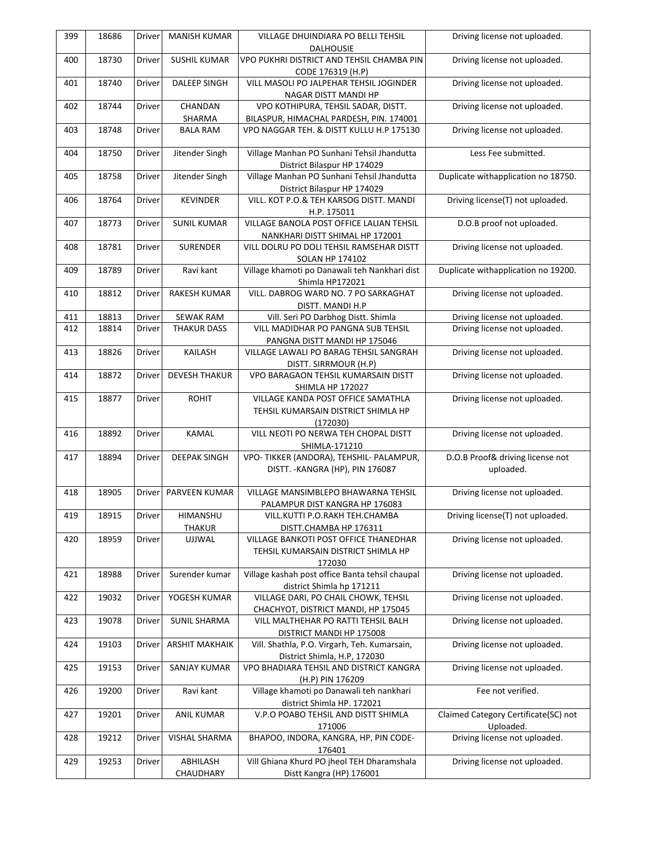| 399 | 18686 | Driver        | <b>MANISH KUMAR</b>            | <b>VILLAGE DHUINDIARA PO BELLI TEHSIL</b><br><b>DALHOUSIE</b>    | Driving license not uploaded.        |
|-----|-------|---------------|--------------------------------|------------------------------------------------------------------|--------------------------------------|
| 400 | 18730 | Driver        | <b>SUSHIL KUMAR</b>            | VPO PUKHRI DISTRICT AND TEHSIL CHAMBA PIN                        | Driving license not uploaded.        |
|     |       |               |                                |                                                                  |                                      |
|     |       |               |                                | CODE 176319 (H.P)                                                |                                      |
| 401 | 18740 | Driver        | <b>DALEEP SINGH</b>            | VILL MASOLI PO JALPEHAR TEHSIL JOGINDER                          | Driving license not uploaded.        |
|     |       |               |                                | NAGAR DISTT MANDI HP                                             |                                      |
| 402 | 18744 | Driver        | CHANDAN                        | VPO KOTHIPURA, TEHSIL SADAR, DISTT.                              | Driving license not uploaded.        |
|     |       |               | SHARMA                         | BILASPUR, HIMACHAL PARDESH, PIN. 174001                          |                                      |
| 403 | 18748 | Driver        | <b>BALA RAM</b>                | VPO NAGGAR TEH. & DISTT KULLU H.P 175130                         | Driving license not uploaded.        |
|     |       |               |                                |                                                                  |                                      |
| 404 | 18750 | Driver        | Jitender Singh                 | Village Manhan PO Sunhani Tehsil Jhandutta                       | Less Fee submitted.                  |
|     |       |               |                                | District Bilaspur HP 174029                                      |                                      |
| 405 | 18758 | Driver        | Jitender Singh                 | Village Manhan PO Sunhani Tehsil Jhandutta                       | Duplicate withapplication no 18750.  |
|     |       |               |                                | District Bilaspur HP 174029                                      |                                      |
| 406 | 18764 | Driver        | <b>KEVINDER</b>                | VILL. KOT P.O.& TEH KARSOG DISTT. MANDI                          | Driving license(T) not uploaded.     |
|     |       |               |                                | H.P. 175011                                                      |                                      |
| 407 | 18773 | Driver        | <b>SUNIL KUMAR</b>             | VILLAGE BANOLA POST OFFICE LALIAN TEHSIL                         | D.O.B proof not uploaded.            |
|     |       |               |                                | NANKHARI DISTT SHIMAL HP 172001                                  |                                      |
| 408 | 18781 | Driver        | <b>SURENDER</b>                | VILL DOLRU PO DOLI TEHSIL RAMSEHAR DISTT                         | Driving license not uploaded.        |
|     |       |               |                                | <b>SOLAN HP 174102</b>                                           |                                      |
| 409 | 18789 | Driver        | Ravi kant                      | Village khamoti po Danawali teh Nankhari dist                    | Duplicate withapplication no 19200.  |
|     |       |               |                                | Shimla HP172021                                                  |                                      |
| 410 | 18812 | Driver        | RAKESH KUMAR                   | VILL. DABROG WARD NO. 7 PO SARKAGHAT                             | Driving license not uploaded.        |
|     |       |               |                                | DISTT. MANDI H.P                                                 |                                      |
| 411 | 18813 | Driver        | <b>SEWAK RAM</b>               | Vill. Seri PO Darbhog Distt. Shimla                              | Driving license not uploaded.        |
| 412 | 18814 | Driver        | <b>THAKUR DASS</b>             | VILL MADIDHAR PO PANGNA SUB TEHSIL                               | Driving license not uploaded.        |
|     |       |               |                                | PANGNA DISTT MANDI HP 175046                                     |                                      |
| 413 | 18826 | Driver        | KAILASH                        | VILLAGE LAWALI PO BARAG TEHSIL SANGRAH                           | Driving license not uploaded.        |
|     |       |               |                                | DISTT. SIRRMOUR (H.P)                                            |                                      |
| 414 | 18872 | Driver        | <b>DEVESH THAKUR</b>           | VPO BARAGAON TEHSIL KUMARSAIN DISTT                              | Driving license not uploaded.        |
|     |       |               |                                | <b>SHIMLA HP 172027</b>                                          |                                      |
| 415 | 18877 | Driver        | <b>ROHIT</b>                   | VILLAGE KANDA POST OFFICE SAMATHLA                               | Driving license not uploaded.        |
|     |       |               |                                | TEHSIL KUMARSAIN DISTRICT SHIMLA HP                              |                                      |
|     |       |               |                                | (172030)                                                         |                                      |
| 416 | 18892 | Driver        | <b>KAMAL</b>                   | VILL NEOTI PO NERWA TEH CHOPAL DISTT                             | Driving license not uploaded.        |
|     |       |               |                                | SHIMLA-171210                                                    |                                      |
| 417 | 18894 | Driver        | <b>DEEPAK SINGH</b>            | VPO- TIKKER (ANDORA), TEHSHIL- PALAMPUR,                         | D.O.B Proof& driving license not     |
|     |       |               |                                | DISTT. - KANGRA (HP), PIN 176087                                 | uploaded.                            |
|     |       |               |                                |                                                                  |                                      |
| 418 | 18905 | Driver        | PARVEEN KUMAR                  | VILLAGE MANSIMBLEPO BHAWARNA TEHSIL                              | Driving license not uploaded.        |
|     |       |               |                                |                                                                  |                                      |
| 419 | 18915 | Driver        | HIMANSHU                       | PALAMPUR DIST KANGRA HP 176083<br>VILL.KUTTI P.O.RAKH TEH.CHAMBA | Driving license(T) not uploaded.     |
|     |       |               |                                |                                                                  |                                      |
| 420 | 18959 | Driver        | <b>THAKUR</b><br><b>UJJWAL</b> | DISTT.CHAMBA HP 176311<br>VILLAGE BANKOTI POST OFFICE THANEDHAR  | Driving license not uploaded.        |
|     |       |               |                                |                                                                  |                                      |
|     |       |               |                                | TEHSIL KUMARSAIN DISTRICT SHIMLA HP                              |                                      |
|     |       |               |                                | 172030                                                           |                                      |
| 421 | 18988 | <b>Driver</b> | Surender kumar                 | Village kashah post office Banta tehsil chaupal                  | Driving license not uploaded.        |
|     |       |               |                                | district Shimla hp 171211                                        |                                      |
| 422 | 19032 | Driver        | YOGESH KUMAR                   | VILLAGE DARI, PO CHAIL CHOWK, TEHSIL                             | Driving license not uploaded.        |
|     |       |               |                                | CHACHYOT, DISTRICT MANDI, HP 175045                              |                                      |
| 423 | 19078 | Driver        | <b>SUNIL SHARMA</b>            | VILL MALTHEHAR PO RATTI TEHSIL BALH                              | Driving license not uploaded.        |
|     |       |               |                                | DISTRICT MANDI HP 175008                                         |                                      |
| 424 | 19103 | Driver        | <b>ARSHIT MAKHAIK</b>          | Vill. Shathla, P.O. Virgarh, Teh. Kumarsain,                     | Driving license not uploaded.        |
|     |       |               |                                | District Shimla, H.P, 172030                                     |                                      |
| 425 | 19153 | Driver        | SANJAY KUMAR                   | VPO BHADIARA TEHSIL AND DISTRICT KANGRA                          | Driving license not uploaded.        |
|     |       |               |                                | (H.P) PIN 176209                                                 |                                      |
| 426 | 19200 | Driver        | Ravi kant                      | Village khamoti po Danawali teh nankhari                         | Fee not verified.                    |
|     |       |               |                                | district Shimla HP. 172021                                       |                                      |
| 427 | 19201 | Driver        | <b>ANIL KUMAR</b>              | V.P.O POABO TEHSIL AND DISTT SHIMLA                              | Claimed Category Certificate(SC) not |
|     |       |               |                                | 171006                                                           | Uploaded.                            |
| 428 | 19212 | Driver        | VISHAL SHARMA                  | BHAPOO, INDORA, KANGRA, HP, PIN CODE-                            | Driving license not uploaded.        |
|     |       |               |                                | 176401                                                           |                                      |
| 429 | 19253 | Driver        | ABHILASH                       | Vill Ghiana Khurd PO jheol TEH Dharamshala                       | Driving license not uploaded.        |
|     |       |               | CHAUDHARY                      | Distt Kangra (HP) 176001                                         |                                      |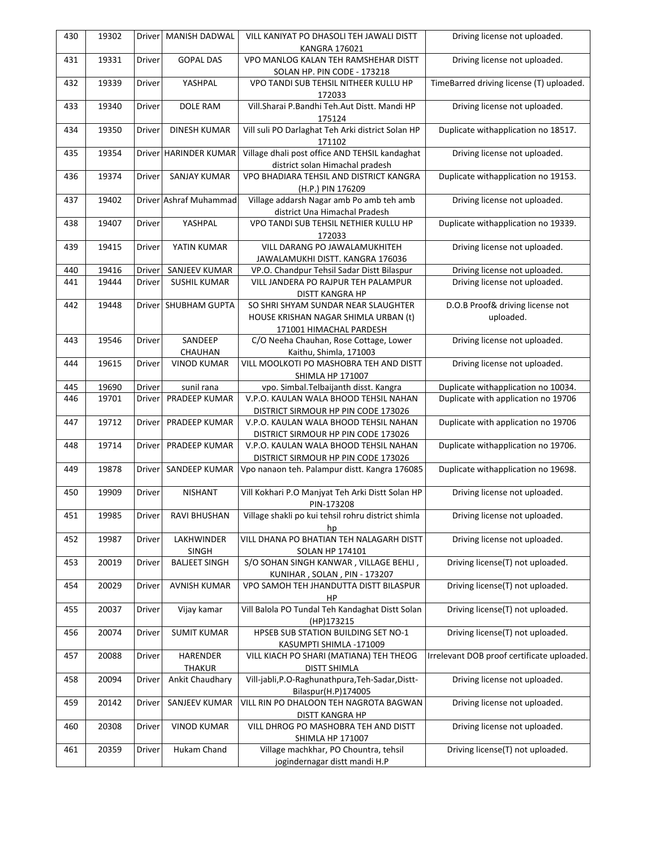| 430 | 19302 | <b>Driver</b> | MANISH DADWAL          | VILL KANIYAT PO DHASOLI TEH JAWALI DISTT                                  | Driving license not uploaded.              |
|-----|-------|---------------|------------------------|---------------------------------------------------------------------------|--------------------------------------------|
| 431 | 19331 | Driver        | <b>GOPAL DAS</b>       | <b>KANGRA 176021</b><br>VPO MANLOG KALAN TEH RAMSHEHAR DISTT              | Driving license not uploaded.              |
|     |       |               |                        |                                                                           |                                            |
|     |       |               |                        | SOLAN HP. PIN CODE - 173218                                               |                                            |
| 432 | 19339 | Driver        | YASHPAL                | VPO TANDI SUB TEHSIL NITHEER KULLU HP<br>172033                           | TimeBarred driving license (T) uploaded.   |
| 433 | 19340 | Driver        | <b>DOLE RAM</b>        | Vill.Sharai P.Bandhi Teh.Aut Distt. Mandi HP<br>175124                    | Driving license not uploaded.              |
| 434 | 19350 | Driver        | <b>DINESH KUMAR</b>    | Vill suli PO Darlaghat Teh Arki district Solan HP<br>171102               | Duplicate withapplication no 18517.        |
| 435 | 19354 |               | Driver HARINDER KUMAR  | Village dhali post office AND TEHSIL kandaghat                            | Driving license not uploaded.              |
|     |       |               |                        | district solan Himachal pradesh                                           |                                            |
| 436 | 19374 | Driver        | <b>SANJAY KUMAR</b>    | VPO BHADIARA TEHSIL AND DISTRICT KANGRA<br>(H.P.) PIN 176209              | Duplicate withapplication no 19153.        |
| 437 | 19402 |               | Driver Ashraf Muhammad | Village addarsh Nagar amb Po amb teh amb<br>district Una Himachal Pradesh | Driving license not uploaded.              |
| 438 | 19407 | Driver        | YASHPAL                | VPO TANDI SUB TEHSIL NETHIER KULLU HP<br>172033                           | Duplicate withapplication no 19339.        |
| 439 | 19415 | Driver        | YATIN KUMAR            | VILL DARANG PO JAWALAMUKHITEH                                             | Driving license not uploaded.              |
|     |       |               |                        | JAWALAMUKHI DISTT. KANGRA 176036                                          |                                            |
| 440 | 19416 | Driver        | SANJEEV KUMAR          | VP.O. Chandpur Tehsil Sadar Distt Bilaspur                                | Driving license not uploaded.              |
| 441 | 19444 | Driver        | <b>SUSHIL KUMAR</b>    | VILL JANDERA PO RAJPUR TEH PALAMPUR<br>DISTT KANGRA HP                    | Driving license not uploaded.              |
| 442 | 19448 |               | Driver SHUBHAM GUPTA   | SO SHRI SHYAM SUNDAR NEAR SLAUGHTER                                       | D.O.B Proof& driving license not           |
|     |       |               |                        | HOUSE KRISHAN NAGAR SHIMLA URBAN (t)                                      | uploaded.                                  |
|     |       |               |                        | 171001 HIMACHAL PARDESH                                                   |                                            |
| 443 | 19546 | Driver        | SANDEEP                | C/O Neeha Chauhan, Rose Cottage, Lower                                    | Driving license not uploaded.              |
|     |       |               | CHAUHAN                | Kaithu, Shimla, 171003                                                    |                                            |
|     |       |               | <b>VINOD KUMAR</b>     | VILL MOOLKOTI PO MASHOBRA TEH AND DISTT                                   | Driving license not uploaded.              |
| 444 | 19615 | Driver        |                        |                                                                           |                                            |
|     |       |               |                        | SHIMLA HP 171007                                                          |                                            |
| 445 | 19690 | Driver        | sunil rana             | vpo. Simbal. Telbaijanth disst. Kangra                                    | Duplicate withapplication no 10034.        |
| 446 | 19701 | Driver        | PRADEEP KUMAR          | V.P.O. KAULAN WALA BHOOD TEHSIL NAHAN                                     | Duplicate with application no 19706        |
|     |       |               |                        | DISTRICT SIRMOUR HP PIN CODE 173026                                       |                                            |
| 447 | 19712 | Driver        | PRADEEP KUMAR          | V.P.O. KAULAN WALA BHOOD TEHSIL NAHAN                                     | Duplicate with application no 19706        |
|     |       |               |                        | DISTRICT SIRMOUR HP PIN CODE 173026                                       |                                            |
| 448 | 19714 | Driver        | PRADEEP KUMAR          | V.P.O. KAULAN WALA BHOOD TEHSIL NAHAN                                     | Duplicate withapplication no 19706.        |
|     |       |               |                        | DISTRICT SIRMOUR HP PIN CODE 173026                                       |                                            |
| 449 | 19878 | Driver        | SANDEEP KUMAR          | Vpo nanaon teh. Palampur distt. Kangra 176085                             | Duplicate withapplication no 19698.        |
| 450 | 19909 | Driver        | <b>NISHANT</b>         | Vill Kokhari P.O Manjyat Teh Arki Distt Solan HP<br>PIN-173208            | Driving license not uploaded.              |
| 451 | 19985 | Driver        | <b>RAVI BHUSHAN</b>    | Village shakli po kui tehsil rohru district shimla<br>hp                  | Driving license not uploaded.              |
| 452 | 19987 | Driver        | LAKHWINDER             | VILL DHANA PO BHATIAN TEH NALAGARH DISTT                                  | Driving license not uploaded.              |
|     |       |               | SINGH                  | SOLAN HP 174101                                                           |                                            |
| 453 | 20019 | Driver        | <b>BALJEET SINGH</b>   | S/O SOHAN SINGH KANWAR, VILLAGE BEHLI,<br>KUNIHAR, SOLAN, PIN - 173207    | Driving license(T) not uploaded.           |
| 454 | 20029 | Driver        | <b>AVNISH KUMAR</b>    | VPO SAMOH TEH JHANDUTTA DISTT BILASPUR<br>ΗP                              | Driving license(T) not uploaded.           |
| 455 | 20037 | Driver        | Vijay kamar            | Vill Balola PO Tundal Teh Kandaghat Distt Solan<br>(HP)173215             | Driving license(T) not uploaded.           |
| 456 | 20074 | <b>Driver</b> | <b>SUMIT KUMAR</b>     | HPSEB SUB STATION BUILDING SET NO-1<br>KASUMPTI SHIMLA -171009            | Driving license(T) not uploaded.           |
| 457 | 20088 | Driver        | <b>HARENDER</b>        | VILL KIACH PO SHARI (MATIANA) TEH THEOG                                   | Irrelevant DOB proof certificate uploaded. |
|     |       |               | <b>THAKUR</b>          | <b>DISTT SHIMLA</b>                                                       |                                            |
| 458 | 20094 | Driver        | Ankit Chaudhary        | Vill-jabli, P.O-Raghunathpura, Teh-Sadar, Distt-<br>Bilaspur(H.P)174005   | Driving license not uploaded.              |
| 459 | 20142 | Driver        | SANJEEV KUMAR          | VILL RIN PO DHALOON TEH NAGROTA BAGWAN                                    | Driving license not uploaded.              |
|     |       |               |                        | DISTT KANGRA HP                                                           |                                            |
| 460 | 20308 | Driver        | <b>VINOD KUMAR</b>     | VILL DHROG PO MASHOBRA TEH AND DISTT<br><b>SHIMLA HP 171007</b>           | Driving license not uploaded.              |
| 461 | 20359 | Driver        | Hukam Chand            | Village machkhar, PO Chountra, tehsil                                     | Driving license(T) not uploaded.           |
|     |       |               |                        | jogindernagar distt mandi H.P                                             |                                            |
|     |       |               |                        |                                                                           |                                            |